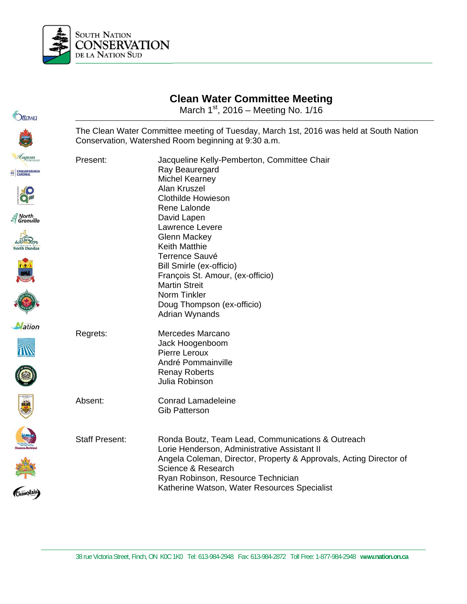

| <i><b><u>Ottawa</u></b></i>                                                        | Glean Maler Commutee Meeting<br>March $1st$ , 2016 – Meeting No. 1/16                                                                         |                                                                                                                                                                                                                                                                                                                                                                                                     |  |
|------------------------------------------------------------------------------------|-----------------------------------------------------------------------------------------------------------------------------------------------|-----------------------------------------------------------------------------------------------------------------------------------------------------------------------------------------------------------------------------------------------------------------------------------------------------------------------------------------------------------------------------------------------------|--|
|                                                                                    | The Clean Water Committee meeting of Tuesday, March 1st, 2016 was held at South Nation<br>Conservation, Watershed Room beginning at 9:30 a.m. |                                                                                                                                                                                                                                                                                                                                                                                                     |  |
| Augusta<br>EC EDWARDSBURGH<br><i>≦</i> North<br><i>≦</i> Grenville<br>North Dundas | Present:                                                                                                                                      | Jacqueline Kelly-Pemberton, Committee Chair<br>Ray Beauregard<br><b>Michel Kearney</b><br>Alan Kruszel<br><b>Clothilde Howieson</b><br>Rene Lalonde<br>David Lapen<br>Lawrence Levere<br><b>Glenn Mackey</b><br><b>Keith Matthie</b><br><b>Terrence Sauvé</b><br>Bill Smirle (ex-officio)<br>François St. Amour, (ex-officio)<br><b>Martin Streit</b><br>Norm Tinkler<br>Doug Thompson (ex-officio) |  |
| <b>Nation</b>                                                                      | Regrets:                                                                                                                                      | Adrian Wynands<br>Mercedes Marcano<br>Jack Hoogenboom<br>Pierre Leroux<br>André Pommainville<br><b>Renay Roberts</b><br>Julia Robinson                                                                                                                                                                                                                                                              |  |
| <b>right</b>                                                                       | Absent:                                                                                                                                       | <b>Conrad Lamadeleine</b><br><b>Gib Patterson</b>                                                                                                                                                                                                                                                                                                                                                   |  |
| (Champlain)                                                                        | <b>Staff Present:</b>                                                                                                                         | Ronda Boutz, Team Lead, Communications & Outreach<br>Lorie Henderson, Administrative Assistant II<br>Angela Coleman, Director, Property & Approvals, Acting Director of<br>Science & Research<br>Ryan Robinson, Resource Technician<br>Katherine Watson, Water Resources Specialist                                                                                                                 |  |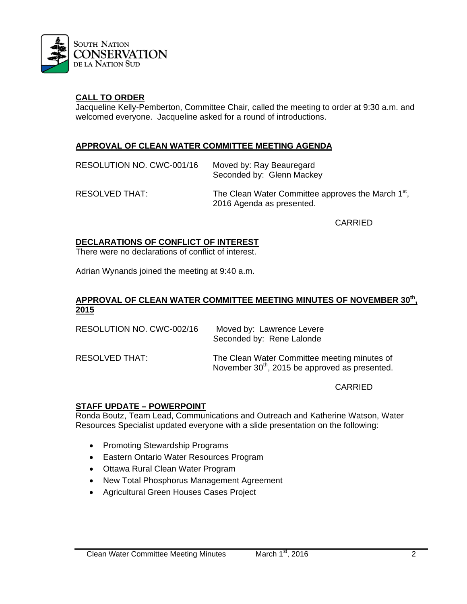

## **CALL TO ORDER**

Jacqueline Kelly-Pemberton, Committee Chair, called the meeting to order at 9:30 a.m. and welcomed everyone. Jacqueline asked for a round of introductions.

## **APPROVAL OF CLEAN WATER COMMITTEE MEETING AGENDA**

| RESOLUTION NO. CWC-001/16 | Moved by: Ray Beauregard<br>Seconded by: Glenn Mackey                                       |
|---------------------------|---------------------------------------------------------------------------------------------|
| RESOLVED THAT:            | The Clean Water Committee approves the March 1 <sup>st</sup> ,<br>2016 Agenda as presented. |

CARRIED

#### **DECLARATIONS OF CONFLICT OF INTEREST**

There were no declarations of conflict of interest.

Adrian Wynands joined the meeting at 9:40 a.m.

#### **APPROVAL OF CLEAN WATER COMMITTEE MEETING MINUTES OF NOVEMBER 30th, 2015**

| RESOLUTION NO. CWC-002/16 | Moved by: Lawrence Levere<br>Seconded by: Rene Lalonde                                                     |
|---------------------------|------------------------------------------------------------------------------------------------------------|
| RESOLVED THAT:            | The Clean Water Committee meeting minutes of<br>November 30 <sup>th</sup> , 2015 be approved as presented. |

CARRIED

### **STAFF UPDATE – POWERPOINT**

Ronda Boutz, Team Lead, Communications and Outreach and Katherine Watson, Water Resources Specialist updated everyone with a slide presentation on the following:

- Promoting Stewardship Programs
- Eastern Ontario Water Resources Program
- Ottawa Rural Clean Water Program
- New Total Phosphorus Management Agreement
- Agricultural Green Houses Cases Project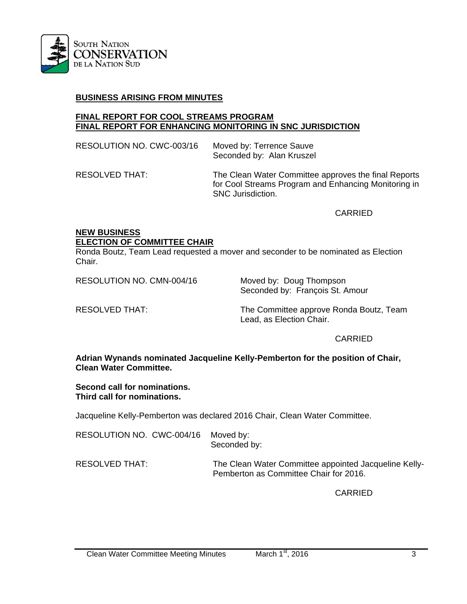

## **BUSINESS ARISING FROM MINUTES**

#### **FINAL REPORT FOR COOL STREAMS PROGRAM FINAL REPORT FOR ENHANCING MONITORING IN SNC JURISDICTION**

| RESOLUTION NO. CWC-003/16 | Moved by: Terrence Sauve<br>Seconded by: Alan Kruszel                                                                                    |
|---------------------------|------------------------------------------------------------------------------------------------------------------------------------------|
| RESOLVED THAT:            | The Clean Water Committee approves the final Reports<br>for Cool Streams Program and Enhancing Monitoring in<br><b>SNC Jurisdiction.</b> |

CARRIED

## **NEW BUSINESS ELECTION OF COMMITTEE CHAIR**

Ronda Boutz, Team Lead requested a mover and seconder to be nominated as Election Chair.

RESOLUTION NO. CMN-004/16 Moved by: Doug Thompson

Seconded by: François St. Amour

RESOLVED THAT: The Committee approve Ronda Boutz, Team Lead, as Election Chair.

### CARRIED

**Adrian Wynands nominated Jacqueline Kelly-Pemberton for the position of Chair, Clean Water Committee.** 

#### **Second call for nominations. Third call for nominations.**

Jacqueline Kelly-Pemberton was declared 2016 Chair, Clean Water Committee.

| RESOLUTION NO. CWC-004/16 | Moved by:<br>Seconded by:                                                                       |
|---------------------------|-------------------------------------------------------------------------------------------------|
| RESOLVED THAT:            | The Clean Water Committee appointed Jacqueline Kelly-<br>Pemberton as Committee Chair for 2016. |

CARRIED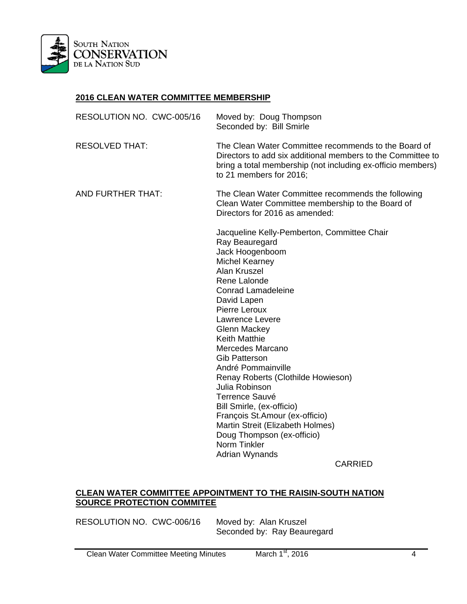

## **2016 CLEAN WATER COMMITTEE MEMBERSHIP**

| RESOLUTION NO. CWC-005/16 | Moved by: Doug Thompson<br>Seconded by: Bill Smirle                                                                                                                                                                                                                                                                                                                                                                                                                                                                                                                                                       |
|---------------------------|-----------------------------------------------------------------------------------------------------------------------------------------------------------------------------------------------------------------------------------------------------------------------------------------------------------------------------------------------------------------------------------------------------------------------------------------------------------------------------------------------------------------------------------------------------------------------------------------------------------|
| <b>RESOLVED THAT:</b>     | The Clean Water Committee recommends to the Board of<br>Directors to add six additional members to the Committee to<br>bring a total membership (not including ex-officio members)<br>to 21 members for 2016;                                                                                                                                                                                                                                                                                                                                                                                             |
| <b>AND FURTHER THAT:</b>  | The Clean Water Committee recommends the following<br>Clean Water Committee membership to the Board of<br>Directors for 2016 as amended:                                                                                                                                                                                                                                                                                                                                                                                                                                                                  |
|                           | Jacqueline Kelly-Pemberton, Committee Chair<br>Ray Beauregard<br>Jack Hoogenboom<br><b>Michel Kearney</b><br>Alan Kruszel<br>Rene Lalonde<br><b>Conrad Lamadeleine</b><br>David Lapen<br>Pierre Leroux<br>Lawrence Levere<br><b>Glenn Mackey</b><br><b>Keith Matthie</b><br>Mercedes Marcano<br><b>Gib Patterson</b><br>André Pommainville<br>Renay Roberts (Clothilde Howieson)<br>Julia Robinson<br>Terrence Sauvé<br>Bill Smirle, (ex-officio)<br>François St.Amour (ex-officio)<br>Martin Streit (Elizabeth Holmes)<br>Doug Thompson (ex-officio)<br>Norm Tinkler<br>Adrian Wynands<br><b>CARRIED</b> |

## **CLEAN WATER COMMITTEE APPOINTMENT TO THE RAISIN-SOUTH NATION SOURCE PROTECTION COMMITEE**

RESOLUTION NO. CWC-006/16 Moved by: Alan Kruszel Seconded by: Ray Beauregard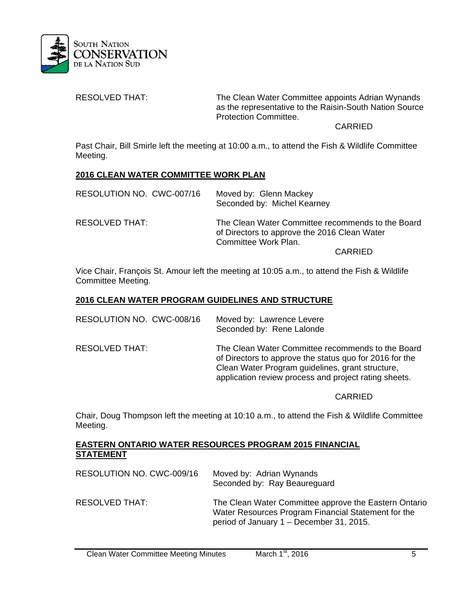

RESOLVED THAT: The Clean Water Committee appoints Adrian Wynands as the representative to the Raisin-South Nation Source Protection Committee.

## CARRIED

Past Chair, Bill Smirle left the meeting at 10:00 a.m., to attend the Fish & Wildlife Committee Meeting.

### **2016 CLEAN WATER COMMITTEE WORK PLAN**

| RESOLUTION NO. CWC-007/16 | Moved by: Glenn Mackey<br>Seconded by: Michel Kearney                                                                     |
|---------------------------|---------------------------------------------------------------------------------------------------------------------------|
| RESOLVED THAT:            | The Clean Water Committee recommends to the Board<br>of Directors to approve the 2016 Clean Water<br>Committee Work Plan. |
|                           | <b>CARRIED</b>                                                                                                            |

Vice Chair, François St. Amour left the meeting at 10:05 a.m., to attend the Fish & Wildlife Committee Meeting.

### **2016 CLEAN WATER PROGRAM GUIDELINES AND STRUCTURE**

| RESOLUTION NO. CWC-008/16 | Moved by: Lawrence Levere<br>Seconded by: Rene Lalonde                                                                                                                                                                    |
|---------------------------|---------------------------------------------------------------------------------------------------------------------------------------------------------------------------------------------------------------------------|
| <b>RESOLVED THAT:</b>     | The Clean Water Committee recommends to the Board<br>of Directors to approve the status quo for 2016 for the<br>Clean Water Program guidelines, grant structure,<br>application review process and project rating sheets. |

### CARRIED

Chair, Doug Thompson left the meeting at 10:10 a.m., to attend the Fish & Wildlife Committee Meeting.

## **EASTERN ONTARIO WATER RESOURCES PROGRAM 2015 FINANCIAL STATEMENT**

| RESOLUTION NO. CWC-009/16 | Moved by: Adrian Wynands<br>Seconded by: Ray Beaureguard                                                                                                 |
|---------------------------|----------------------------------------------------------------------------------------------------------------------------------------------------------|
| RESOLVED THAT:            | The Clean Water Committee approve the Eastern Ontario<br>Water Resources Program Financial Statement for the<br>period of January 1 – December 31, 2015. |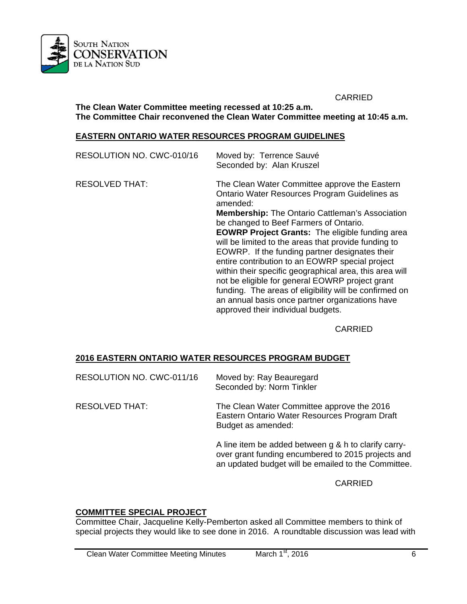

 CARRIED **The Clean Water Committee meeting recessed at 10:25 a.m. The Committee Chair reconvened the Clean Water Committee meeting at 10:45 a.m.** 

#### **EASTERN ONTARIO WATER RESOURCES PROGRAM GUIDELINES**

| RESOLUTION NO. CWC-010/16 | Moved by: Terrence Sauvé<br>Seconded by: Alan Kruszel                                                                                                                                                                                                                                                                                                                                                                                                                                                                                               |
|---------------------------|-----------------------------------------------------------------------------------------------------------------------------------------------------------------------------------------------------------------------------------------------------------------------------------------------------------------------------------------------------------------------------------------------------------------------------------------------------------------------------------------------------------------------------------------------------|
| <b>RESOLVED THAT:</b>     | The Clean Water Committee approve the Eastern<br>Ontario Water Resources Program Guidelines as<br>amended:<br><b>Membership:</b> The Ontario Cattleman's Association<br>be changed to Beef Farmers of Ontario.<br><b>EOWRP Project Grants:</b> The eligible funding area<br>will be limited to the areas that provide funding to<br>EOWRP. If the funding partner designates their<br>entire contribution to an EOWRP special project<br>within their specific geographical area, this area will<br>not be eligible for general EOWRP project grant |
|                           | funding. The areas of eligibility will be confirmed on<br>an annual basis once partner organizations have<br>approved their individual budgets.                                                                                                                                                                                                                                                                                                                                                                                                     |

CARRIED

### **2016 EASTERN ONTARIO WATER RESOURCES PROGRAM BUDGET**

| RESOLUTION NO. CWC-011/16 | Moved by: Ray Beauregard<br>Seconded by: Norm Tinkler                                                                                                             |
|---------------------------|-------------------------------------------------------------------------------------------------------------------------------------------------------------------|
| <b>RESOLVED THAT:</b>     | The Clean Water Committee approve the 2016<br>Eastern Ontario Water Resources Program Draft<br>Budget as amended:                                                 |
|                           | A line item be added between g & h to clarify carry-<br>over grant funding encumbered to 2015 projects and<br>an updated budget will be emailed to the Committee. |

CARRIED

## **COMMITTEE SPECIAL PROJECT**

Committee Chair, Jacqueline Kelly-Pemberton asked all Committee members to think of special projects they would like to see done in 2016. A roundtable discussion was lead with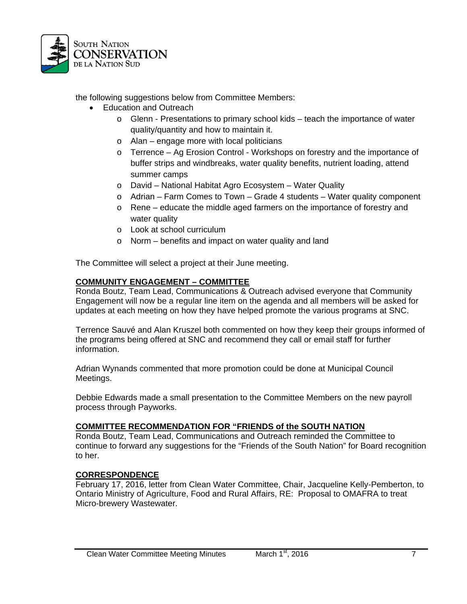

the following suggestions below from Committee Members:

- Education and Outreach
	- o Glenn Presentations to primary school kids teach the importance of water quality/quantity and how to maintain it.
	- o Alan engage more with local politicians
	- o Terrence Ag Erosion Control Workshops on forestry and the importance of buffer strips and windbreaks, water quality benefits, nutrient loading, attend summer camps
	- o David National Habitat Agro Ecosystem Water Quality
	- $\circ$  Adrian Farm Comes to Town Grade 4 students Water quality component
	- $\circ$  Rene educate the middle aged farmers on the importance of forestry and water quality
	- o Look at school curriculum
	- o Norm benefits and impact on water quality and land

The Committee will select a project at their June meeting.

### **COMMUNITY ENGAGEMENT – COMMITTEE**

Ronda Boutz, Team Lead, Communications & Outreach advised everyone that Community Engagement will now be a regular line item on the agenda and all members will be asked for updates at each meeting on how they have helped promote the various programs at SNC.

Terrence Sauvé and Alan Kruszel both commented on how they keep their groups informed of the programs being offered at SNC and recommend they call or email staff for further information.

Adrian Wynands commented that more promotion could be done at Municipal Council Meetings.

Debbie Edwards made a small presentation to the Committee Members on the new payroll process through Payworks.

### **COMMITTEE RECOMMENDATION FOR "FRIENDS of the SOUTH NATION**

Ronda Boutz, Team Lead, Communications and Outreach reminded the Committee to continue to forward any suggestions for the "Friends of the South Nation" for Board recognition to her.

### **CORRESPONDENCE**

February 17, 2016, letter from Clean Water Committee, Chair, Jacqueline Kelly-Pemberton, to Ontario Ministry of Agriculture, Food and Rural Affairs, RE: Proposal to OMAFRA to treat Micro-brewery Wastewater.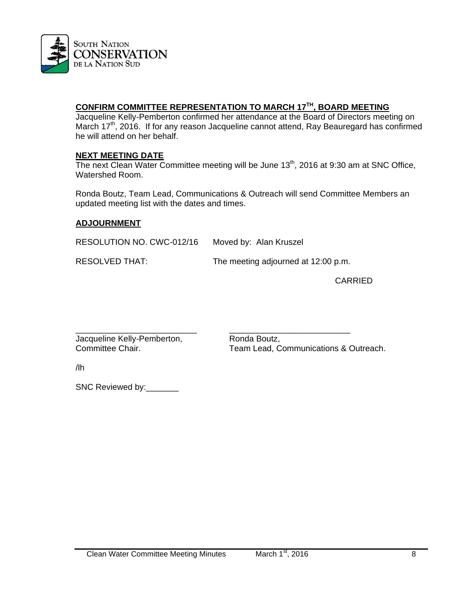

# **CONFIRM COMMITTEE REPRESENTATION TO MARCH 17TH, BOARD MEETING**

Jacqueline Kelly-Pemberton confirmed her attendance at the Board of Directors meeting on March 17<sup>th</sup>, 2016. If for any reason Jacqueline cannot attend, Ray Beauregard has confirmed he will attend on her behalf.

### **NEXT MEETING DATE**

The next Clean Water Committee meeting will be June 13<sup>th</sup>, 2016 at 9:30 am at SNC Office, Watershed Room.

Ronda Boutz, Team Lead, Communications & Outreach will send Committee Members an updated meeting list with the dates and times.

## **ADJOURNMENT**

RESOLUTION NO. CWC-012/16 Moved by: Alan Kruszel

RESOLVED THAT: The meeting adjourned at 12:00 p.m.

CARRIED

\_\_\_\_\_\_\_\_\_\_\_\_\_\_\_\_\_\_\_\_\_\_\_\_\_\_ \_\_\_\_\_\_\_\_\_\_\_\_\_\_\_\_\_\_\_\_\_\_\_\_\_\_ Jacqueline Kelly-Pemberton, Ronda Boutz,

Committee Chair. Team Lead, Communications & Outreach.

/lh

SNC Reviewed by: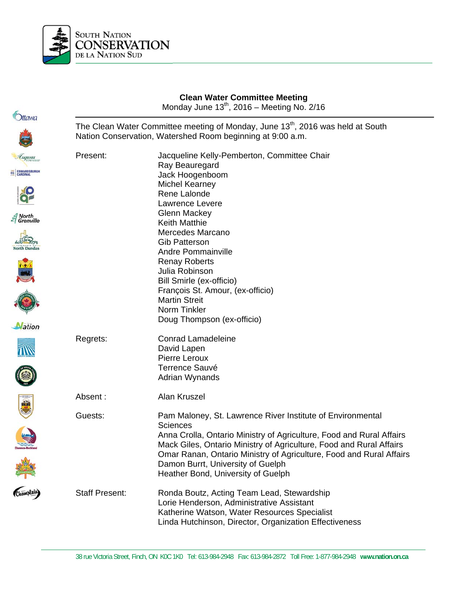

|                                                                  | <b>Clean Water Committee Meeting</b><br>Monday June 13 <sup>th</sup> , 2016 - Meeting No. 2/16<br>The Clean Water Committee meeting of Monday, June 13 <sup>th</sup> , 2016 was held at South<br>Nation Conservation, Watershed Room beginning at 9:00 a.m. |                                                                                                                                                                                                                                                                                                                                                                                                                        |  |
|------------------------------------------------------------------|-------------------------------------------------------------------------------------------------------------------------------------------------------------------------------------------------------------------------------------------------------------|------------------------------------------------------------------------------------------------------------------------------------------------------------------------------------------------------------------------------------------------------------------------------------------------------------------------------------------------------------------------------------------------------------------------|--|
| <b>Ottawa</b>                                                    |                                                                                                                                                                                                                                                             |                                                                                                                                                                                                                                                                                                                                                                                                                        |  |
| Luqusta<br>EC EDWARDSBURGH<br>North<br>Grenville<br>North Dundas | Present:                                                                                                                                                                                                                                                    | Jacqueline Kelly-Pemberton, Committee Chair<br>Ray Beauregard<br>Jack Hoogenboom<br><b>Michel Kearney</b><br>Rene Lalonde<br>Lawrence Levere<br>Glenn Mackey<br><b>Keith Matthie</b><br><b>Mercedes Marcano</b><br><b>Gib Patterson</b><br><b>Andre Pommainville</b><br><b>Renay Roberts</b><br>Julia Robinson<br>Bill Smirle (ex-officio)<br>François St. Amour, (ex-officio)<br><b>Martin Streit</b><br>Norm Tinkler |  |
| Mation                                                           | Regrets:                                                                                                                                                                                                                                                    | Doug Thompson (ex-officio)<br><b>Conrad Lamadeleine</b><br>David Lapen<br>Pierre Leroux<br><b>Terrence Sauvé</b><br>Adrian Wynands                                                                                                                                                                                                                                                                                     |  |
| 臺                                                                | Absent:<br>Guests:                                                                                                                                                                                                                                          | Alan Kruszel<br>Pam Maloney, St. Lawrence River Institute of Environmental<br><b>Sciences</b><br>Anna Crolla, Ontario Ministry of Agriculture, Food and Rural Affairs<br>Mack Giles, Ontario Ministry of Agriculture, Food and Rural Affairs<br>Omar Ranan, Ontario Ministry of Agriculture, Food and Rural Affairs<br>Damon Burrt, University of Guelph<br>Heather Bond, University of Guelph                         |  |
|                                                                  | <b>Staff Present:</b>                                                                                                                                                                                                                                       | Ronda Boutz, Acting Team Lead, Stewardship<br>Lorie Henderson, Administrative Assistant<br>Katherine Watson, Water Resources Specialist<br>Linda Hutchinson, Director, Organization Effectiveness                                                                                                                                                                                                                      |  |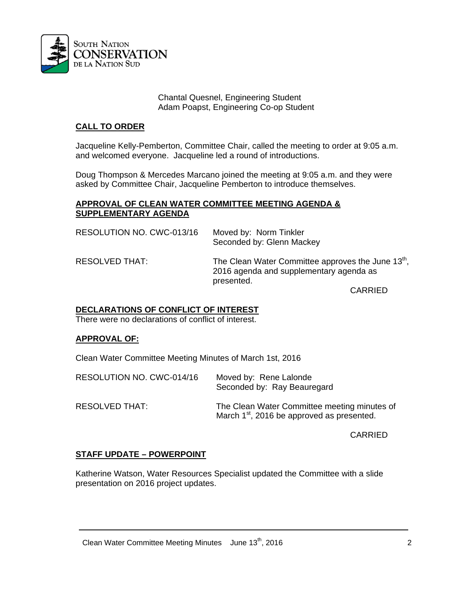

#### Chantal Quesnel, Engineering Student Adam Poapst, Engineering Co-op Student

## **CALL TO ORDER**

Jacqueline Kelly-Pemberton, Committee Chair, called the meeting to order at 9:05 a.m. and welcomed everyone. Jacqueline led a round of introductions.

Doug Thompson & Mercedes Marcano joined the meeting at 9:05 a.m. and they were asked by Committee Chair, Jacqueline Pemberton to introduce themselves.

#### **APPROVAL OF CLEAN WATER COMMITTEE MEETING AGENDA & SUPPLEMENTARY AGENDA**

| RESOLUTION NO. CWC-013/16 | Moved by: Norm Tinkler<br>Seconded by: Glenn Mackey                                                                      |
|---------------------------|--------------------------------------------------------------------------------------------------------------------------|
| RESOLVED THAT:            | The Clean Water Committee approves the June $13^{\mathrm{m}}$ ,<br>2016 agenda and supplementary agenda as<br>presented. |
|                           | CARRIED                                                                                                                  |

CARRIED

### **DECLARATIONS OF CONFLICT OF INTEREST**

There were no declarations of conflict of interest.

### **APPROVAL OF:**

Clean Water Committee Meeting Minutes of March 1st, 2016

| RESOLUTION NO. CWC-014/16 | Moved by: Rene Lalonde<br>Seconded by: Ray Beauregard                                                  |
|---------------------------|--------------------------------------------------------------------------------------------------------|
| RESOLVED THAT:            | The Clean Water Committee meeting minutes of<br>March 1 <sup>st</sup> , 2016 be approved as presented. |

CARRIED

### **STAFF UPDATE – POWERPOINT**

Katherine Watson, Water Resources Specialist updated the Committee with a slide presentation on 2016 project updates.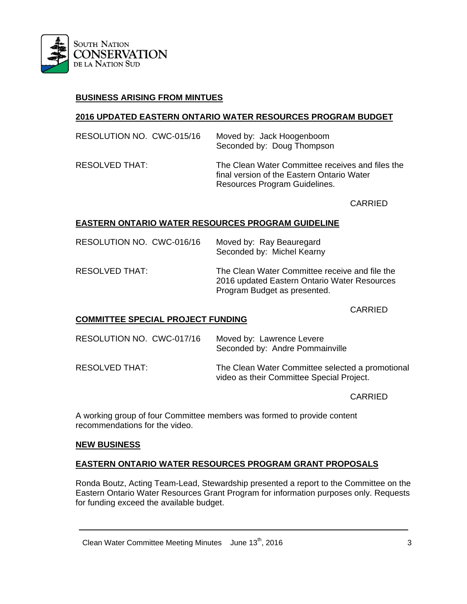

## **BUSINESS ARISING FROM MINTUES**

#### **2016 UPDATED EASTERN ONTARIO WATER RESOURCES PROGRAM BUDGET**

| RESOLUTION NO. CWC-015/16 | Moved by: Jack Hoogenboom<br>Seconded by: Doug Thompson                                                                         |
|---------------------------|---------------------------------------------------------------------------------------------------------------------------------|
| RESOLVED THAT:            | The Clean Water Committee receives and files the<br>final version of the Eastern Ontario Water<br>Resources Program Guidelines. |

CARRIED

### **EASTERN ONTARIO WATER RESOURCES PROGRAM GUIDELINE**

| RESOLUTION NO. CWC-016/16 | Moved by: Ray Beauregard<br>Seconded by: Michel Kearny                                                                         |
|---------------------------|--------------------------------------------------------------------------------------------------------------------------------|
| RESOLVED THAT:            | The Clean Water Committee receive and file the<br>2016 updated Eastern Ontario Water Resources<br>Program Budget as presented. |

CARRIED

### **COMMITTEE SPECIAL PROJECT FUNDING**

| RESOLUTION NO. CWC-017/16 | Moved by: Lawrence Levere<br>Seconded by: Andre Pommainville                                  |
|---------------------------|-----------------------------------------------------------------------------------------------|
| RESOLVED THAT:            | The Clean Water Committee selected a promotional<br>video as their Committee Special Project. |

CARRIED

A working group of four Committee members was formed to provide content recommendations for the video.

#### **NEW BUSINESS**

#### **EASTERN ONTARIO WATER RESOURCES PROGRAM GRANT PROPOSALS**

Ronda Boutz, Acting Team-Lead, Stewardship presented a report to the Committee on the Eastern Ontario Water Resources Grant Program for information purposes only. Requests for funding exceed the available budget.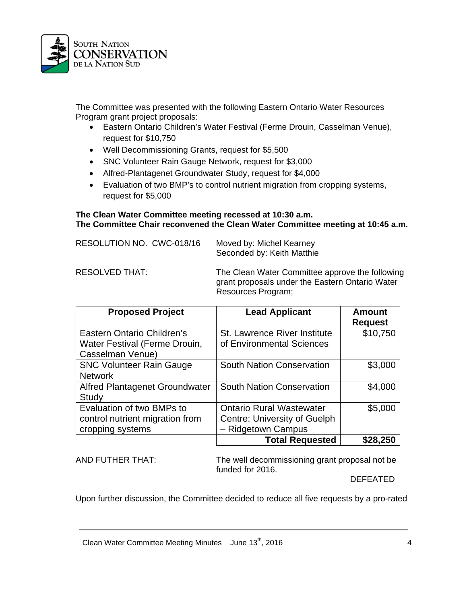

The Committee was presented with the following Eastern Ontario Water Resources Program grant project proposals:

- Eastern Ontario Children's Water Festival (Ferme Drouin, Casselman Venue), request for \$10,750
- Well Decommissioning Grants, request for \$5,500
- SNC Volunteer Rain Gauge Network, request for \$3,000
- Alfred-Plantagenet Groundwater Study, request for \$4,000
- Evaluation of two BMP's to control nutrient migration from cropping systems, request for \$5,000

### **The Clean Water Committee meeting recessed at 10:30 a.m. The Committee Chair reconvened the Clean Water Committee meeting at 10:45 a.m.**

| RESOLUTION NO. CWC-018/16 | Moved by: Michel Kearney<br>Seconded by: Keith Matthie                                                                   |
|---------------------------|--------------------------------------------------------------------------------------------------------------------------|
| RESOLVED THAT:            | The Clean Water Committee approve the following<br>grant proposals under the Eastern Ontario Water<br>Resources Program; |

| <b>Proposed Project</b>                           | <b>Lead Applicant</b>                                     | <b>Amount</b><br><b>Request</b> |
|---------------------------------------------------|-----------------------------------------------------------|---------------------------------|
| Eastern Ontario Children's                        | St. Lawrence River Institute<br>of Environmental Sciences | \$10,750                        |
| Water Festival (Ferme Drouin,<br>Casselman Venue) |                                                           |                                 |
| <b>SNC Volunteer Rain Gauge</b>                   | <b>South Nation Conservation</b>                          | \$3,000                         |
| <b>Network</b>                                    |                                                           |                                 |
| Alfred Plantagenet Groundwater                    | <b>South Nation Conservation</b>                          | \$4,000                         |
| Study                                             |                                                           |                                 |
| Evaluation of two BMPs to                         | <b>Ontario Rural Wastewater</b>                           | \$5,000                         |
| control nutrient migration from                   | <b>Centre: University of Guelph</b>                       |                                 |
| cropping systems                                  | - Ridgetown Campus                                        |                                 |
|                                                   | <b>Total Requested</b>                                    | \$28,250                        |

AND FUTHER THAT: The well decommissioning grant proposal not be funded for 2016.

DEFEATED

Upon further discussion, the Committee decided to reduce all five requests by a pro-rated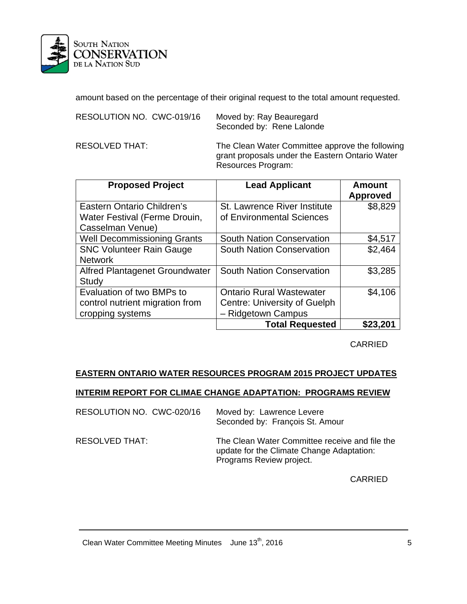

amount based on the percentage of their original request to the total amount requested.

Moved by: Ray Beauregard Seconded by: Rene Lalonde

RESOLVED THAT: The Clean Water Committee approve the following grant proposals under the Eastern Ontario Water Resources Program:

| <b>Proposed Project</b>            | <b>Lead Applicant</b>               | <b>Amount</b><br><b>Approved</b> |
|------------------------------------|-------------------------------------|----------------------------------|
| Eastern Ontario Children's         | St. Lawrence River Institute        | \$8,829                          |
| Water Festival (Ferme Drouin,      | of Environmental Sciences           |                                  |
| Casselman Venue)                   |                                     |                                  |
| <b>Well Decommissioning Grants</b> | <b>South Nation Conservation</b>    | \$4,517                          |
| <b>SNC Volunteer Rain Gauge</b>    | <b>South Nation Conservation</b>    | \$2,464                          |
| <b>Network</b>                     |                                     |                                  |
| Alfred Plantagenet Groundwater     | <b>South Nation Conservation</b>    | \$3,285                          |
| Study                              |                                     |                                  |
| Evaluation of two BMPs to          | <b>Ontario Rural Wastewater</b>     | \$4,106                          |
| control nutrient migration from    | <b>Centre: University of Guelph</b> |                                  |
| cropping systems                   | - Ridgetown Campus                  |                                  |
|                                    | <b>Total Requested</b>              | \$23,201                         |

CARRIED

# **EASTERN ONTARIO WATER RESOURCES PROGRAM 2015 PROJECT UPDATES**

### **INTERIM REPORT FOR CLIMAE CHANGE ADAPTATION: PROGRAMS REVIEW**

| RESOLUTION NO. CWC-020/16 | Moved by: Lawrence Levere<br>Seconded by: François St. Amour                                                            |
|---------------------------|-------------------------------------------------------------------------------------------------------------------------|
| RESOLVED THAT:            | The Clean Water Committee receive and file the<br>update for the Climate Change Adaptation:<br>Programs Review project. |

CARRIED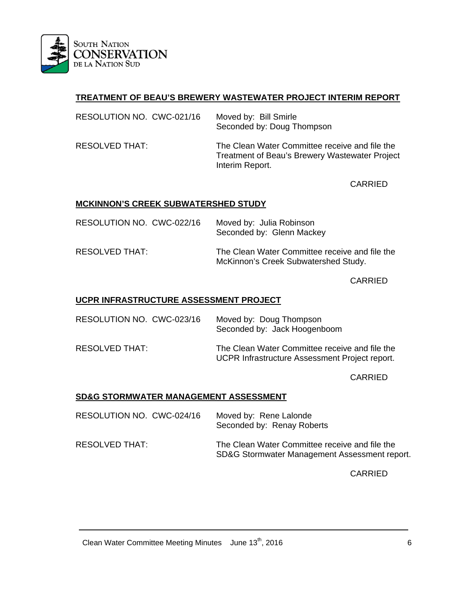

# **TREATMENT OF BEAU'S BREWERY WASTEWATER PROJECT INTERIM REPORT**

| RESOLUTION NO. CWC-021/16 | Moved by: Bill Smirle<br>Seconded by: Doug Thompson                                                                 |
|---------------------------|---------------------------------------------------------------------------------------------------------------------|
| RESOLVED THAT:            | The Clean Water Committee receive and file the<br>Treatment of Beau's Brewery Wastewater Project<br>Interim Report. |

CARRIED

## **MCKINNON'S CREEK SUBWATERSHED STUDY**

| RESOLUTION NO. CWC-022/16 | Moved by: Julia Robinson<br>Seconded by: Glenn Mackey                                  |
|---------------------------|----------------------------------------------------------------------------------------|
| RESOLVED THAT:            | The Clean Water Committee receive and file the<br>McKinnon's Creek Subwatershed Study. |

CARRIED

## **UCPR INFRASTRUCTURE ASSESSMENT PROJECT**

| RESOLUTION NO. CWC-023/16 | Moved by: Doug Thompson<br>Seconded by: Jack Hoogenboom                                          |
|---------------------------|--------------------------------------------------------------------------------------------------|
| RESOLVED THAT:            | The Clean Water Committee receive and file the<br>UCPR Infrastructure Assessment Project report. |

CARRIED

## **SD&G STORMWATER MANAGEMENT ASSESSMENT**

| RESOLUTION NO. CWC-024/16 | Moved by: Rene Lalonde<br>Seconded by: Renay Roberts                                            |
|---------------------------|-------------------------------------------------------------------------------------------------|
| RESOLVED THAT:            | The Clean Water Committee receive and file the<br>SD&G Stormwater Management Assessment report. |

CARRIED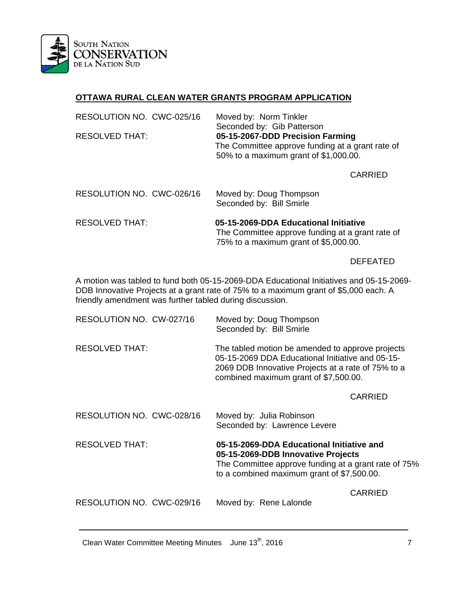

# **OTTAWA RURAL CLEAN WATER GRANTS PROGRAM APPLICATION**

| RESOLUTION NO. CWC-025/16<br><b>RESOLVED THAT:</b> | Moved by: Norm Tinkler<br>Seconded by: Gib Patterson<br>05-15-2067-DDD Precision Farming<br>The Committee approve funding at a grant rate of<br>50% to a maximum grant of \$1,000.00. |
|----------------------------------------------------|---------------------------------------------------------------------------------------------------------------------------------------------------------------------------------------|
|                                                    | CARRIED                                                                                                                                                                               |
| RESOLUTION NO. CWC-026/16                          | Moved by: Doug Thompson<br>Seconded by: Bill Smirle                                                                                                                                   |
| <b>RESOLVED THAT:</b>                              | 05-15-2069-DDA Educational Initiative<br>The Committee approve funding at a grant rate of<br>75% to a maximum grant of \$5,000.00.                                                    |

# DEFEATED

A motion was tabled to fund both 05-15-2069-DDA Educational Initiatives and 05-15-2069- DDB Innovative Projects at a grant rate of 75% to a maximum grant of \$5,000 each. A friendly amendment was further tabled during discussion.

| RESOLUTION NO. CW-027/16  | Moved by: Doug Thompson<br>Seconded by: Bill Smirle                                                                                                                                                 |
|---------------------------|-----------------------------------------------------------------------------------------------------------------------------------------------------------------------------------------------------|
| <b>RESOLVED THAT:</b>     | The tabled motion be amended to approve projects<br>05-15-2069 DDA Educational Initiative and 05-15-<br>2069 DDB Innovative Projects at a rate of 75% to a<br>combined maximum grant of \$7,500.00. |
|                           | <b>CARRIED</b>                                                                                                                                                                                      |
| RESOLUTION NO. CWC-028/16 | Moved by: Julia Robinson<br>Seconded by: Lawrence Levere                                                                                                                                            |
| <b>RESOLVED THAT:</b>     | 05-15-2069-DDA Educational Initiative and<br>05-15-2069-DDB Innovative Projects<br>The Committee approve funding at a grant rate of 75%<br>to a combined maximum grant of \$7,500.00.               |
| RESOLUTION NO. CWC-029/16 | CARRIED<br>Moved by: Rene Lalonde                                                                                                                                                                   |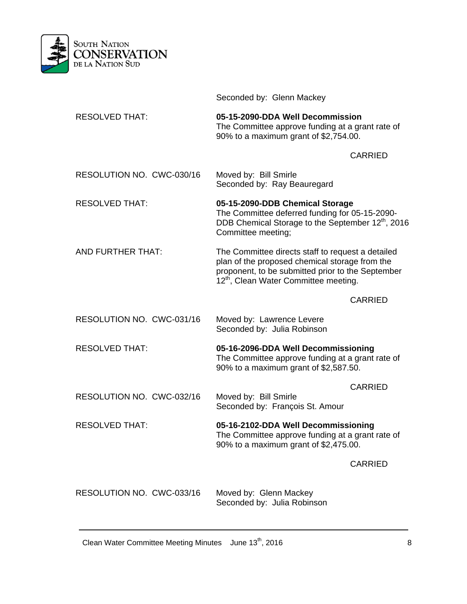

|                           | Seconded by: Glenn Mackey                                                                                                                                                                                     |  |
|---------------------------|---------------------------------------------------------------------------------------------------------------------------------------------------------------------------------------------------------------|--|
| <b>RESOLVED THAT:</b>     | 05-15-2090-DDA Well Decommission<br>The Committee approve funding at a grant rate of<br>90% to a maximum grant of \$2,754.00.                                                                                 |  |
|                           | <b>CARRIED</b>                                                                                                                                                                                                |  |
| RESOLUTION NO. CWC-030/16 | Moved by: Bill Smirle<br>Seconded by: Ray Beauregard                                                                                                                                                          |  |
| <b>RESOLVED THAT:</b>     | 05-15-2090-DDB Chemical Storage<br>The Committee deferred funding for 05-15-2090-<br>DDB Chemical Storage to the September 12 <sup>th</sup> , 2016<br>Committee meeting;                                      |  |
| AND FURTHER THAT:         | The Committee directs staff to request a detailed<br>plan of the proposed chemical storage from the<br>proponent, to be submitted prior to the September<br>12 <sup>th</sup> , Clean Water Committee meeting. |  |
|                           | <b>CARRIED</b>                                                                                                                                                                                                |  |
| RESOLUTION NO. CWC-031/16 | Moved by: Lawrence Levere<br>Seconded by: Julia Robinson                                                                                                                                                      |  |
| <b>RESOLVED THAT:</b>     | 05-16-2096-DDA Well Decommissioning<br>The Committee approve funding at a grant rate of<br>90% to a maximum grant of \$2,587.50.                                                                              |  |
|                           | <b>CARRIED</b>                                                                                                                                                                                                |  |
| RESOLUTION NO. CWC-032/16 | Moved by: Bill Smirle<br>Seconded by: François St. Amour                                                                                                                                                      |  |
| <b>RESOLVED THAT:</b>     | 05-16-2102-DDA Well Decommissioning<br>The Committee approve funding at a grant rate of<br>90% to a maximum grant of \$2,475.00.                                                                              |  |
|                           | <b>CARRIED</b>                                                                                                                                                                                                |  |
| RESOLUTION NO. CWC-033/16 | Moved by: Glenn Mackey<br>Seconded by: Julia Robinson                                                                                                                                                         |  |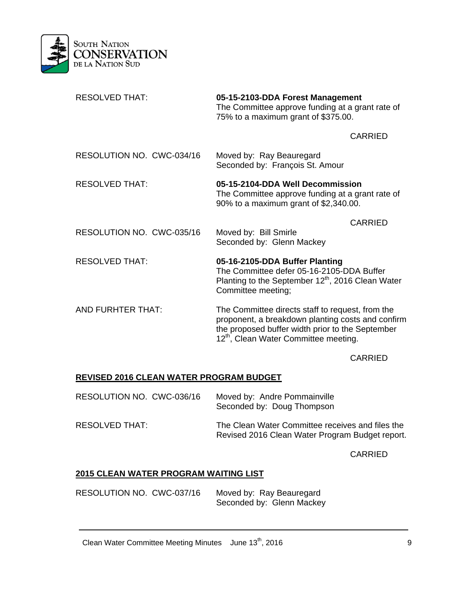

| <b>RESOLVED THAT:</b>     | 05-15-2103-DDA Forest Management<br>The Committee approve funding at a grant rate of<br>75% to a maximum grant of \$375.00.                                                                                    |  |
|---------------------------|----------------------------------------------------------------------------------------------------------------------------------------------------------------------------------------------------------------|--|
|                           | <b>CARRIED</b>                                                                                                                                                                                                 |  |
| RESOLUTION NO. CWC-034/16 | Moved by: Ray Beauregard<br>Seconded by: François St. Amour                                                                                                                                                    |  |
| <b>RESOLVED THAT:</b>     | 05-15-2104-DDA Well Decommission<br>The Committee approve funding at a grant rate of<br>90% to a maximum grant of \$2,340.00.                                                                                  |  |
|                           | <b>CARRIED</b>                                                                                                                                                                                                 |  |
| RESOLUTION NO. CWC-035/16 | Moved by: Bill Smirle<br>Seconded by: Glenn Mackey                                                                                                                                                             |  |
| <b>RESOLVED THAT:</b>     | 05-16-2105-DDA Buffer Planting<br>The Committee defer 05-16-2105-DDA Buffer<br>Planting to the September 12 <sup>th</sup> , 2016 Clean Water<br>Committee meeting;                                             |  |
| AND FURHTER THAT:         | The Committee directs staff to request, from the<br>proponent, a breakdown planting costs and confirm<br>the proposed buffer width prior to the September<br>12 <sup>th</sup> , Clean Water Committee meeting. |  |

CARRIED

# **REVISED 2016 CLEAN WATER PROGRAM BUDGET**

| RESOLUTION NO. CWC-036/16 | Moved by: Andre Pommainville<br>Seconded by: Doug Thompson                                          |
|---------------------------|-----------------------------------------------------------------------------------------------------|
| RESOLVED THAT:            | The Clean Water Committee receives and files the<br>Revised 2016 Clean Water Program Budget report. |

CARRIED

# **2015 CLEAN WATER PROGRAM WAITING LIST**

| RESOLUTION NO. CWC-037/16 | Moved by: Ray Beauregard  |
|---------------------------|---------------------------|
|                           | Seconded by: Glenn Mackey |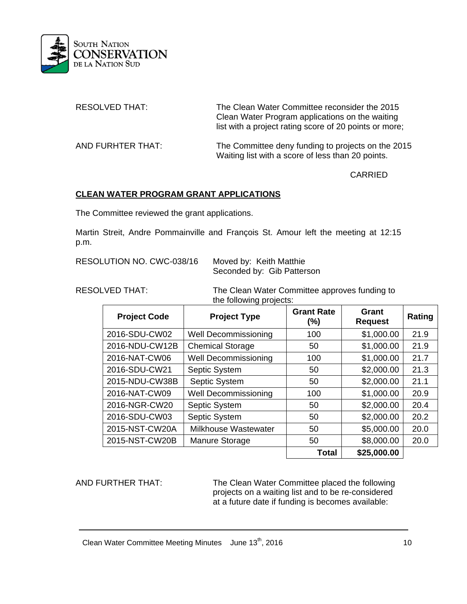

| <b>RESOLVED THAT:</b> | The Clean Water Committee reconsider the 2015<br>Clean Water Program applications on the waiting<br>list with a project rating score of 20 points or more; |
|-----------------------|------------------------------------------------------------------------------------------------------------------------------------------------------------|
| AND FURHTER THAT:     | The Committee deny funding to projects on the 2015<br>Waiting list with a score of less than 20 points.                                                    |

CARRIED

## **CLEAN WATER PROGRAM GRANT APPLICATIONS**

The Committee reviewed the grant applications.

Martin Streit, Andre Pommainville and François St. Amour left the meeting at 12:15 p.m.

RESOLUTION NO. CWC-038/16 Moved by: Keith Matthie

Seconded by: Gib Patterson

RESOLVED THAT: The Clean Water Committee approves funding to the following projects:

| <b>Project Code</b> | <b>Project Type</b>         | <b>Grant Rate</b><br>$(\% )$ | Grant<br><b>Request</b> | Rating |
|---------------------|-----------------------------|------------------------------|-------------------------|--------|
| 2016-SDU-CW02       | <b>Well Decommissioning</b> | 100                          | \$1,000.00              | 21.9   |
| 2016-NDU-CW12B      | <b>Chemical Storage</b>     | 50                           | \$1,000.00              | 21.9   |
| 2016-NAT-CW06       | <b>Well Decommissioning</b> | 100                          | \$1,000.00              | 21.7   |
| 2016-SDU-CW21       | Septic System               | 50                           | \$2,000.00              | 21.3   |
| 2015-NDU-CW38B      | Septic System               | 50                           | \$2,000.00              | 21.1   |
| 2016-NAT-CW09       | <b>Well Decommissioning</b> | 100                          | \$1,000.00              | 20.9   |
| 2016-NGR-CW20       | Septic System               | 50                           | \$2,000.00              | 20.4   |
| 2016-SDU-CW03       | Septic System               | 50                           | \$2,000.00              | 20.2   |
| 2015-NST-CW20A      | <b>Milkhouse Wastewater</b> | 50                           | \$5,000.00              | 20.0   |
| 2015-NST-CW20B      | Manure Storage              | 50                           | \$8,000.00              | 20.0   |
|                     |                             | <b>Total</b>                 | \$25,000.00             |        |

AND FURTHER THAT: The Clean Water Committee placed the following projects on a waiting list and to be re-considered at a future date if funding is becomes available: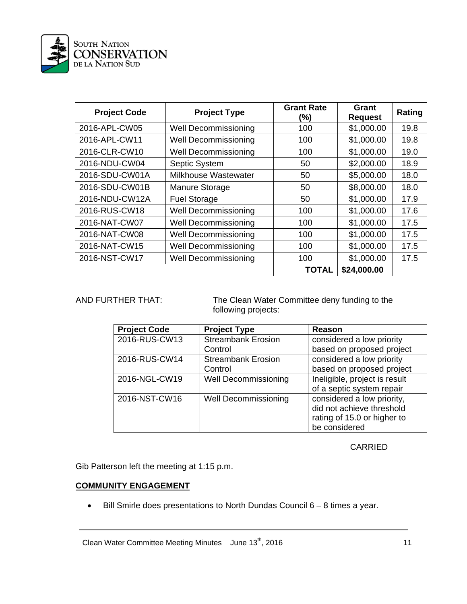

| <b>Project Code</b> | <b>Project Type</b>         | <b>Grant Rate</b><br>(%) | Grant<br><b>Request</b> | Rating |
|---------------------|-----------------------------|--------------------------|-------------------------|--------|
| 2016-APL-CW05       | <b>Well Decommissioning</b> | 100                      | \$1,000.00              | 19.8   |
| 2016-APL-CW11       | <b>Well Decommissioning</b> | 100                      | \$1,000.00              | 19.8   |
| 2016-CLR-CW10       | <b>Well Decommissioning</b> | 100                      | \$1,000.00              | 19.0   |
| 2016-NDU-CW04       | Septic System               | 50                       | \$2,000.00              | 18.9   |
| 2016-SDU-CW01A      | <b>Milkhouse Wastewater</b> | 50                       | \$5,000.00              | 18.0   |
| 2016-SDU-CW01B      | Manure Storage              | 50                       | \$8,000.00              | 18.0   |
| 2016-NDU-CW12A      | <b>Fuel Storage</b>         | 50                       | \$1,000.00              | 17.9   |
| 2016-RUS-CW18       | <b>Well Decommissioning</b> | 100                      | \$1,000.00              | 17.6   |
| 2016-NAT-CW07       | <b>Well Decommissioning</b> | 100                      | \$1,000.00              | 17.5   |
| 2016-NAT-CW08       | <b>Well Decommissioning</b> | 100                      | \$1,000.00              | 17.5   |
| 2016-NAT-CW15       | <b>Well Decommissioning</b> | 100                      | \$1,000.00              | 17.5   |
| 2016-NST-CW17       | <b>Well Decommissioning</b> | 100                      | \$1,000.00              | 17.5   |
|                     |                             | <b>TOTAL</b>             | \$24,000.00             |        |

AND FURTHER THAT: The Clean Water Committee deny funding to the following projects:

| <b>Project Code</b> | <b>Project Type</b>         | <b>Reason</b>                 |
|---------------------|-----------------------------|-------------------------------|
| 2016-RUS-CW13       | <b>Streambank Erosion</b>   | considered a low priority     |
|                     | Control                     | based on proposed project     |
| 2016-RUS-CW14       | <b>Streambank Erosion</b>   | considered a low priority     |
|                     | Control                     | based on proposed project     |
| 2016-NGL-CW19       | <b>Well Decommissioning</b> | Ineligible, project is result |
|                     |                             | of a septic system repair     |
| 2016-NST-CW16       | <b>Well Decommissioning</b> | considered a low priority,    |
|                     |                             | did not achieve threshold     |
|                     |                             | rating of 15.0 or higher to   |
|                     |                             | be considered                 |

# **CARRIED**

Gib Patterson left the meeting at 1:15 p.m.

## **COMMUNITY ENGAGEMENT**

Bill Smirle does presentations to North Dundas Council 6 – 8 times a year.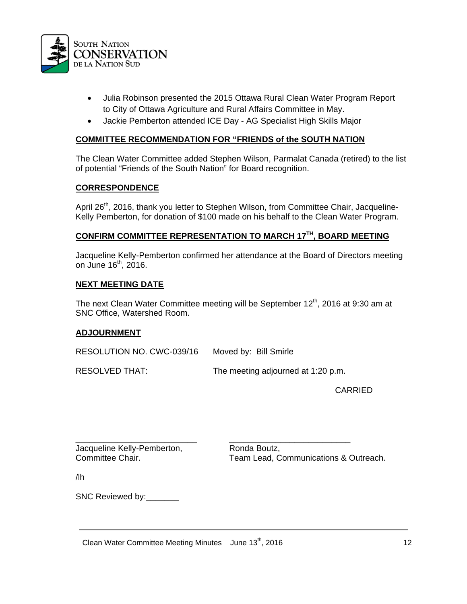

- Julia Robinson presented the 2015 Ottawa Rural Clean Water Program Report to City of Ottawa Agriculture and Rural Affairs Committee in May.
- Jackie Pemberton attended ICE Day AG Specialist High Skills Major

#### **COMMITTEE RECOMMENDATION FOR "FRIENDS of the SOUTH NATION**

The Clean Water Committee added Stephen Wilson, Parmalat Canada (retired) to the list of potential "Friends of the South Nation" for Board recognition.

### **CORRESPONDENCE**

April 26<sup>th</sup>, 2016, thank you letter to Stephen Wilson, from Committee Chair, Jacqueline-Kelly Pemberton, for donation of \$100 made on his behalf to the Clean Water Program.

# **CONFIRM COMMITTEE REPRESENTATION TO MARCH 17TH, BOARD MEETING**

Jacqueline Kelly-Pemberton confirmed her attendance at the Board of Directors meeting on June  $16<sup>th</sup>$ , 2016.

#### **NEXT MEETING DATE**

The next Clean Water Committee meeting will be September  $12<sup>th</sup>$ , 2016 at 9:30 am at SNC Office, Watershed Room.

### **ADJOURNMENT**

RESOLUTION NO. CWC-039/16 Moved by: Bill Smirle

RESOLVED THAT: The meeting adjourned at 1:20 p.m.

CARRIED

Jacqueline Kelly-Pemberton, Ronda Boutz,

\_\_\_\_\_\_\_\_\_\_\_\_\_\_\_\_\_\_\_\_\_\_\_\_\_\_ \_\_\_\_\_\_\_\_\_\_\_\_\_\_\_\_\_\_\_\_\_\_\_\_\_\_ Committee Chair. Team Lead, Communications & Outreach.

/lh

SNC Reviewed by: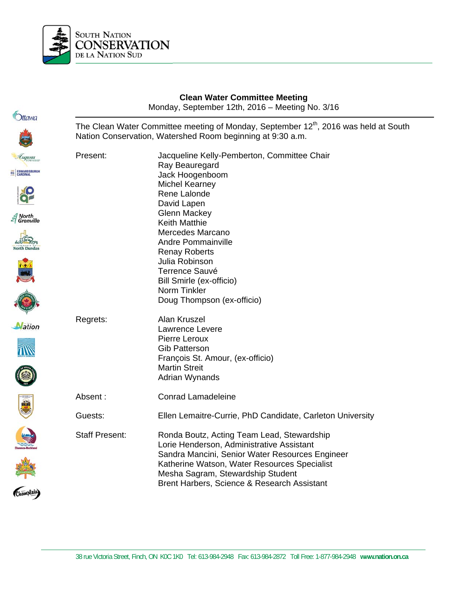

EC

| Ottawa                                                             |                       | <b>Clean Water Committee Meeting</b><br>Monday, September 12th, 2016 - Meeting No. 3/16                                                                                                                                                                                        |
|--------------------------------------------------------------------|-----------------------|--------------------------------------------------------------------------------------------------------------------------------------------------------------------------------------------------------------------------------------------------------------------------------|
|                                                                    |                       | The Clean Water Committee meeting of Monday, September 12 <sup>th</sup> , 2016 was held at South<br>Nation Conservation, Watershed Room beginning at 9:30 a.m.                                                                                                                 |
| Luqusta<br>EC EDWARDSBURGH                                         | Present:              | Jacqueline Kelly-Pemberton, Committee Chair<br>Ray Beauregard<br>Jack Hoogenboom<br><b>Michel Kearney</b>                                                                                                                                                                      |
|                                                                    |                       | Rene Lalonde<br>David Lapen<br><b>Glenn Mackey</b>                                                                                                                                                                                                                             |
| $\mathcal{\mathcal{Z}}$ North<br>$\mathcal{\mathcal{Z}}$ Grenville |                       | <b>Keith Matthie</b><br>Mercedes Marcano<br><b>Andre Pommainville</b>                                                                                                                                                                                                          |
|                                                                    |                       | <b>Renay Roberts</b><br>Julia Robinson<br><b>Terrence Sauvé</b>                                                                                                                                                                                                                |
|                                                                    |                       | Bill Smirle (ex-officio)<br>Norm Tinkler<br>Doug Thompson (ex-officio)                                                                                                                                                                                                         |
| <b>Nation</b>                                                      | Regrets:              | Alan Kruszel<br>Lawrence Levere<br>Pierre Leroux<br><b>Gib Patterson</b><br>François St. Amour, (ex-officio)<br><b>Martin Streit</b><br>Adrian Wynands                                                                                                                         |
| \$                                                                 | Absent:               | <b>Conrad Lamadeleine</b>                                                                                                                                                                                                                                                      |
|                                                                    | Guests:               | Ellen Lemaitre-Currie, PhD Candidate, Carleton University                                                                                                                                                                                                                      |
| (Champlain)                                                        | <b>Staff Present:</b> | Ronda Boutz, Acting Team Lead, Stewardship<br>Lorie Henderson, Administrative Assistant<br>Sandra Mancini, Senior Water Resources Engineer<br>Katherine Watson, Water Resources Specialist<br>Mesha Sagram, Stewardship Student<br>Brent Harbers, Science & Research Assistant |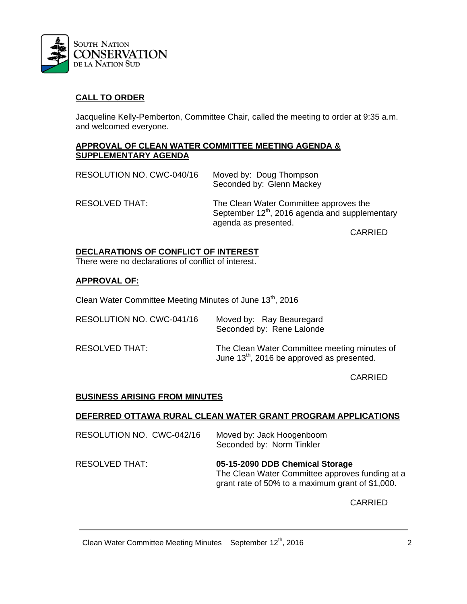

# **CALL TO ORDER**

Jacqueline Kelly-Pemberton, Committee Chair, called the meeting to order at 9:35 a.m. and welcomed everyone.

#### **APPROVAL OF CLEAN WATER COMMITTEE MEETING AGENDA & SUPPLEMENTARY AGENDA**

| RESOLUTION NO. CWC-040/16 | Moved by: Doug Thompson<br>Seconded by: Glenn Mackey                                                                         |
|---------------------------|------------------------------------------------------------------------------------------------------------------------------|
| RESOLVED THAT:            | The Clean Water Committee approves the<br>September 12 <sup>th</sup> , 2016 agenda and supplementary<br>agenda as presented. |
|                           | <b>CARRIED</b>                                                                                                               |

## **DECLARATIONS OF CONFLICT OF INTEREST**

There were no declarations of conflict of interest.

### **APPROVAL OF:**

Clean Water Committee Meeting Minutes of June 13<sup>th</sup>, 2016

| RESOLUTION NO. CWC-041/16 | Moved by: Ray Beauregard<br>Seconded by: Rene Lalonde                                                  |
|---------------------------|--------------------------------------------------------------------------------------------------------|
| RESOLVED THAT:            | The Clean Water Committee meeting minutes of<br>June 13 <sup>th</sup> , 2016 be approved as presented. |

CARRIED

### **BUSINESS ARISING FROM MINUTES**

#### **DEFERRED OTTAWA RURAL CLEAN WATER GRANT PROGRAM APPLICATIONS**

RESOLUTION NO. CWC-042/16 Moved by: Jack Hoogenboom Seconded by: Norm Tinkler

RESOLVED THAT: **05-15-2090 DDB Chemical Storage**  The Clean Water Committee approves funding at a grant rate of 50% to a maximum grant of \$1,000.

CARRIED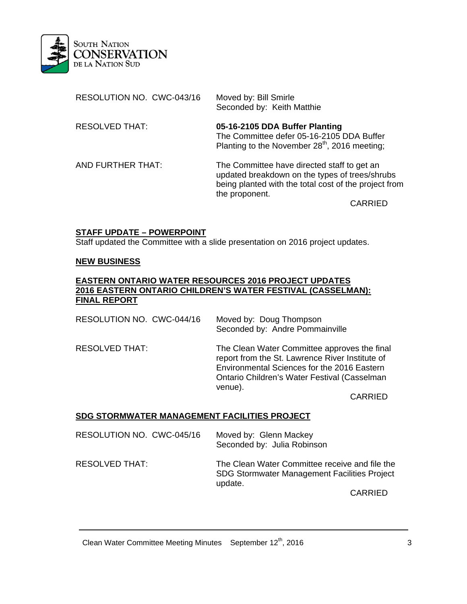

| RESOLUTION NO. CWC-043/16 | Moved by: Bill Smirle<br>Seconded by: Keith Matthie                                                                                                                      |
|---------------------------|--------------------------------------------------------------------------------------------------------------------------------------------------------------------------|
| <b>RESOLVED THAT:</b>     | 05-16-2105 DDA Buffer Planting<br>The Committee defer 05-16-2105 DDA Buffer<br>Planting to the November 28 <sup>th</sup> , 2016 meeting;                                 |
| AND FURTHER THAT:         | The Committee have directed staff to get an<br>updated breakdown on the types of trees/shrubs<br>being planted with the total cost of the project from<br>the proponent. |
|                           | CARRIED                                                                                                                                                                  |

## **STAFF UPDATE – POWERPOINT**

Staff updated the Committee with a slide presentation on 2016 project updates.

#### **NEW BUSINESS**

#### **EASTERN ONTARIO WATER RESOURCES 2016 PROJECT UPDATES 2016 EASTERN ONTARIO CHILDREN'S WATER FESTIVAL (CASSELMAN): FINAL REPORT**

RESOLUTION NO. CWC-044/16 Moved by: Doug Thompson Seconded by: Andre Pommainville RESOLVED THAT: The Clean Water Committee approves the final report from the St. Lawrence River Institute of Environmental Sciences for the 2016 Eastern Ontario Children's Water Festival (Casselman venue).

CARRIED

### **SDG STORMWATER MANAGEMENT FACILITIES PROJECT**

| RESOLUTION NO. CWC-045/16 | Moved by: Glenn Mackey<br>Seconded by: Julia Robinson                                                            |
|---------------------------|------------------------------------------------------------------------------------------------------------------|
| RESOLVED THAT:            | The Clean Water Committee receive and file the<br><b>SDG Stormwater Management Facilities Project</b><br>update. |
|                           | <b>CARRIED</b>                                                                                                   |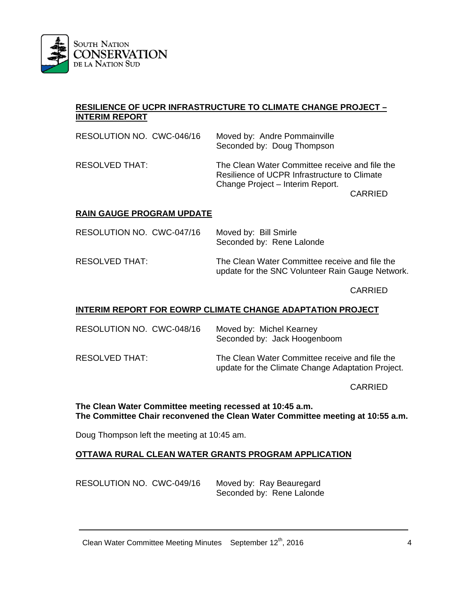

## **RESILIENCE OF UCPR INFRASTRUCTURE TO CLIMATE CHANGE PROJECT – INTERIM REPORT**

| RESOLUTION NO. CWC-046/16 | Moved by: Andre Pommainville<br>Seconded by: Doug Thompson                                                                         |
|---------------------------|------------------------------------------------------------------------------------------------------------------------------------|
| RESOLVED THAT:            | The Clean Water Committee receive and file the<br>Resilience of UCPR Infrastructure to Climate<br>Change Project - Interim Report. |
|                           | <b>CARRIED</b>                                                                                                                     |

### **RAIN GAUGE PROGRAM UPDATE**

| RESOLUTION NO. CWC-047/16 | Moved by: Bill Smirle<br>Seconded by: Rene Lalonde                                                 |
|---------------------------|----------------------------------------------------------------------------------------------------|
| RESOLVED THAT:            | The Clean Water Committee receive and file the<br>update for the SNC Volunteer Rain Gauge Network. |

CARRIED

#### **INTERIM REPORT FOR EOWRP CLIMATE CHANGE ADAPTATION PROJECT**

| RESOLUTION NO. CWC-048/16 | Moved by: Michel Kearney<br>Seconded by: Jack Hoogenboom                                            |
|---------------------------|-----------------------------------------------------------------------------------------------------|
| RESOLVED THAT:            | The Clean Water Committee receive and file the<br>update for the Climate Change Adaptation Project. |

CARRIED

#### **The Clean Water Committee meeting recessed at 10:45 a.m. The Committee Chair reconvened the Clean Water Committee meeting at 10:55 a.m.**

Doug Thompson left the meeting at 10:45 am.

### **OTTAWA RURAL CLEAN WATER GRANTS PROGRAM APPLICATION**

| RESOLUTION NO. CWC-049/16 | Moved by: Ray Beauregard  |
|---------------------------|---------------------------|
|                           | Seconded by: Rene Lalonde |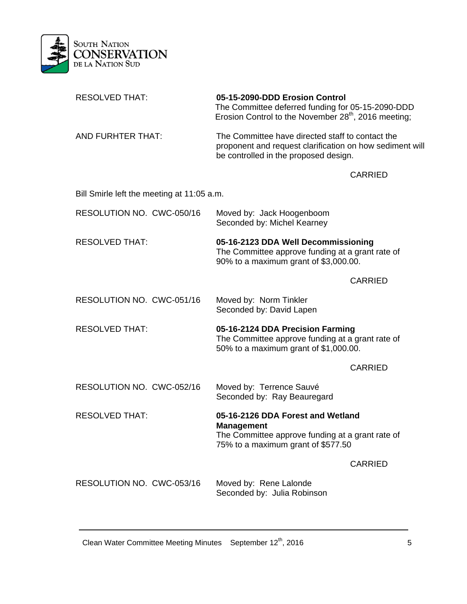

| <b>RESOLVED THAT:</b>                      | 05-15-2090-DDD Erosion Control<br>The Committee deferred funding for 05-15-2090-DDD<br>Erosion Control to the November 28 <sup>th</sup> , 2016 meeting; |                |
|--------------------------------------------|---------------------------------------------------------------------------------------------------------------------------------------------------------|----------------|
| AND FURHTER THAT:                          | The Committee have directed staff to contact the<br>proponent and request clarification on how sediment will<br>be controlled in the proposed design.   |                |
|                                            |                                                                                                                                                         | <b>CARRIED</b> |
| Bill Smirle left the meeting at 11:05 a.m. |                                                                                                                                                         |                |
| RESOLUTION NO. CWC-050/16                  | Moved by: Jack Hoogenboom<br>Seconded by: Michel Kearney                                                                                                |                |
| <b>RESOLVED THAT:</b>                      | 05-16-2123 DDA Well Decommissioning<br>The Committee approve funding at a grant rate of<br>90% to a maximum grant of \$3,000.00.                        |                |
|                                            |                                                                                                                                                         | <b>CARRIED</b> |
| RESOLUTION NO. CWC-051/16                  | Moved by: Norm Tinkler<br>Seconded by: David Lapen                                                                                                      |                |
| <b>RESOLVED THAT:</b>                      | 05-16-2124 DDA Precision Farming<br>The Committee approve funding at a grant rate of<br>50% to a maximum grant of \$1,000.00.                           |                |
|                                            |                                                                                                                                                         | <b>CARRIED</b> |
| RESOLUTION NO. CWC-052/16                  | Moved by: Terrence Sauvé<br>Seconded by: Ray Beauregard                                                                                                 |                |
| <b>RESOLVED THAT:</b>                      | 05-16-2126 DDA Forest and Wetland<br><b>Management</b><br>The Committee approve funding at a grant rate of<br>75% to a maximum grant of \$577.50        |                |
|                                            |                                                                                                                                                         | <b>CARRIED</b> |
| RESOLUTION NO. CWC-053/16                  | Moved by: Rene Lalonde<br>Seconded by: Julia Robinson                                                                                                   |                |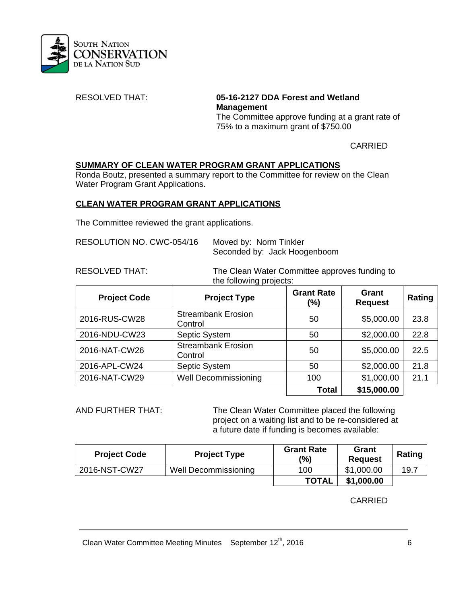

RESOLVED THAT: **05-16-2127 DDA Forest and Wetland Management**  The Committee approve funding at a grant rate of 75% to a maximum grant of \$750.00

CARRIED

# **SUMMARY OF CLEAN WATER PROGRAM GRANT APPLICATIONS**

 Ronda Boutz, presented a summary report to the Committee for review on the Clean Water Program Grant Applications.

### **CLEAN WATER PROGRAM GRANT APPLICATIONS**

The Committee reviewed the grant applications.

| RESOLUTION NO. CWC-054/16 | Moved by: Norm Tinkler       |
|---------------------------|------------------------------|
|                           | Seconded by: Jack Hoogenboom |

RESOLVED THAT: The Clean Water Committee approves funding to the following projects:

| <b>Project Code</b> | <b>Project Type</b>                  | <b>Grant Rate</b><br>$(\% )$ | Grant<br><b>Request</b> | Rating |
|---------------------|--------------------------------------|------------------------------|-------------------------|--------|
| 2016-RUS-CW28       | <b>Streambank Erosion</b><br>Control | 50                           | \$5,000.00              | 23.8   |
| 2016-NDU-CW23       | Septic System                        | 50                           | \$2,000.00              | 22.8   |
| 2016-NAT-CW26       | <b>Streambank Erosion</b><br>Control | 50                           | \$5,000.00              | 22.5   |
| 2016-APL-CW24       | Septic System                        | 50                           | \$2,000.00              | 21.8   |
| 2016-NAT-CW29       | <b>Well Decommissioning</b>          | 100                          | \$1,000.00              | 21.1   |
|                     |                                      | Total                        | \$15,000.00             |        |

AND FURTHER THAT: The Clean Water Committee placed the following project on a waiting list and to be re-considered at a future date if funding is becomes available:

| <b>Project Code</b> | <b>Project Type</b>  | <b>Grant Rate</b><br>(%) | Grant<br><b>Request</b> | Rating |
|---------------------|----------------------|--------------------------|-------------------------|--------|
| 2016-NST-CW27       | Well Decommissioning | 100                      | \$1,000.00              | 19.7   |
|                     |                      | <b>TOTAL</b>             | \$1,000.00              |        |

**CARRIED**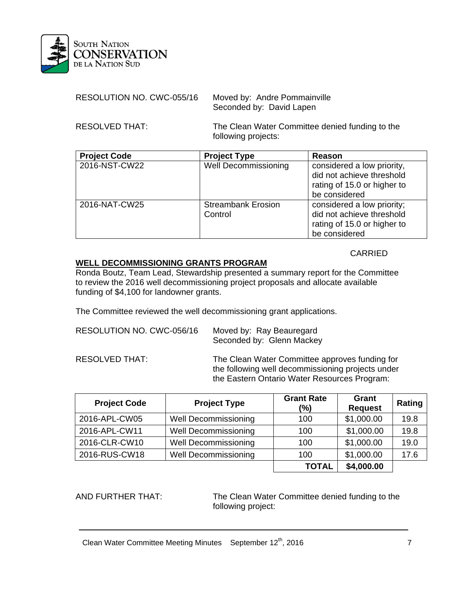

| RESOLUTION NO. CWC-055/16 | Moved by: Andre Pommainville |
|---------------------------|------------------------------|
|                           | Seconded by: David Lapen     |

RESOLVED THAT: The Clean Water Committee denied funding to the following projects:

| <b>Project Code</b> | <b>Project Type</b>                  | Reason                                                                                                  |
|---------------------|--------------------------------------|---------------------------------------------------------------------------------------------------------|
| 2016-NST-CW22       | <b>Well Decommissioning</b>          | considered a low priority,<br>did not achieve threshold<br>rating of 15.0 or higher to<br>be considered |
| 2016-NAT-CW25       | <b>Streambank Erosion</b><br>Control | considered a low priority;<br>did not achieve threshold<br>rating of 15.0 or higher to<br>be considered |

### **CARRIED**

## **WELL DECOMMISSIONING GRANTS PROGRAM**

 Ronda Boutz, Team Lead, Stewardship presented a summary report for the Committee to review the 2016 well decommissioning project proposals and allocate available funding of \$4,100 for landowner grants.

The Committee reviewed the well decommissioning grant applications.

| RESOLUTION NO. CWC-056/16 | Moved by: Ray Beauregard<br>Seconded by: Glenn Mackey                                                                                               |
|---------------------------|-----------------------------------------------------------------------------------------------------------------------------------------------------|
| RESOLVED THAT:            | The Clean Water Committee approves funding for<br>the following well decommissioning projects under<br>the Eastern Ontario Water Resources Program: |

| <b>Project Code</b> | <b>Project Type</b>         | <b>Grant Rate</b><br>(%) | <b>Grant</b><br><b>Request</b> | Rating |
|---------------------|-----------------------------|--------------------------|--------------------------------|--------|
| 2016-APL-CW05       | <b>Well Decommissioning</b> | 100                      | \$1,000.00                     | 19.8   |
| 2016-APL-CW11       | <b>Well Decommissioning</b> | 100                      | \$1,000.00                     | 19.8   |
| 2016-CLR-CW10       | <b>Well Decommissioning</b> | 100                      | \$1,000.00                     | 19.0   |
| 2016-RUS-CW18       | <b>Well Decommissioning</b> | 100                      | \$1,000.00                     | 17.6   |
|                     |                             | <b>TOTAL</b>             | \$4,000.00                     |        |

AND FURTHER THAT: The Clean Water Committee denied funding to the following project: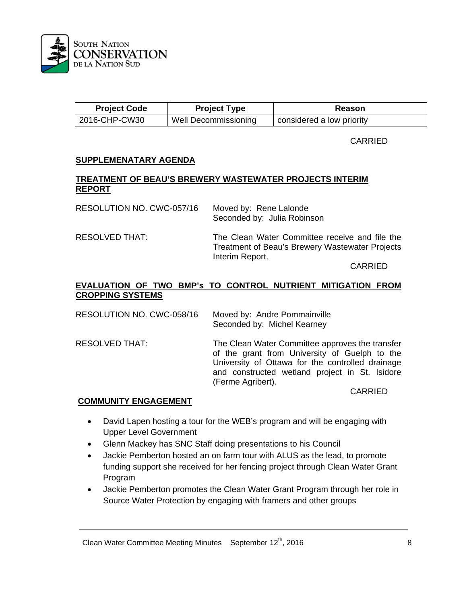

| <b>Project Code</b> | <b>Project Type</b>  | Reason                    |
|---------------------|----------------------|---------------------------|
| 2016-CHP-CW30       | Well Decommissioning | considered a low priority |

CARRIED

#### **SUPPLEMENATARY AGENDA**

#### **TREATMENT OF BEAU'S BREWERY WASTEWATER PROJECTS INTERIM REPORT**

| RESOLUTION NO. CWC-057/16 | Moved by: Rene Lalonde<br>Seconded by: Julia Robinson                                                                       |
|---------------------------|-----------------------------------------------------------------------------------------------------------------------------|
| RESOLVED THAT:            | The Clean Water Committee receive and file the<br><b>Treatment of Beau's Brewery Wastewater Projects</b><br>Interim Report. |
|                           | <b>^*^^'F^</b>                                                                                                              |

CARRIED

## **EVALUATION OF TWO BMP's TO CONTROL NUTRIENT MITIGATION FROM CROPPING SYSTEMS**

RESOLUTION NO. CWC-058/16 Moved by: Andre Pommainville Seconded by: Michel Kearney

RESOLVED THAT: The Clean Water Committee approves the transfer of the grant from University of Guelph to the University of Ottawa for the controlled drainage and constructed wetland project in St. Isidore (Ferme Agribert). CARRIED

#### **COMMUNITY ENGAGEMENT**

- David Lapen hosting a tour for the WEB's program and will be engaging with Upper Level Government
- Glenn Mackey has SNC Staff doing presentations to his Council
- Jackie Pemberton hosted an on farm tour with ALUS as the lead, to promote funding support she received for her fencing project through Clean Water Grant Program
- Jackie Pemberton promotes the Clean Water Grant Program through her role in Source Water Protection by engaging with framers and other groups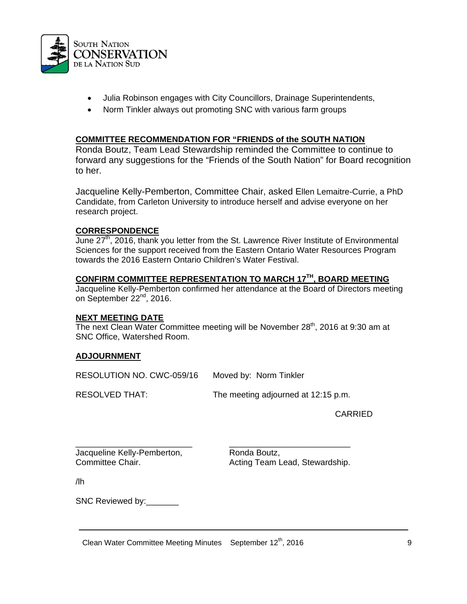

- Julia Robinson engages with City Councillors, Drainage Superintendents,
- Norm Tinkler always out promoting SNC with various farm groups

#### **COMMITTEE RECOMMENDATION FOR "FRIENDS of the SOUTH NATION**

Ronda Boutz, Team Lead Stewardship reminded the Committee to continue to forward any suggestions for the "Friends of the South Nation" for Board recognition to her.

Jacqueline Kelly-Pemberton, Committee Chair, asked Ellen Lemaitre-Currie, a PhD Candidate, from Carleton University to introduce herself and advise everyone on her research project.

#### **CORRESPONDENCE**

June  $27<sup>th</sup>$ , 2016, thank you letter from the St. Lawrence River Institute of Environmental Sciences for the support received from the Eastern Ontario Water Resources Program towards the 2016 Eastern Ontario Children's Water Festival.

## **CONFIRM COMMITTEE REPRESENTATION TO MARCH 17TH, BOARD MEETING**

Jacqueline Kelly-Pemberton confirmed her attendance at the Board of Directors meeting on September 22<sup>nd</sup>, 2016.

#### **NEXT MEETING DATE**

The next Clean Water Committee meeting will be November  $28<sup>th</sup>$ , 2016 at 9:30 am at SNC Office, Watershed Room.

### **ADJOURNMENT**

RESOLUTION NO. CWC-059/16 Moved by: Norm Tinkler

RESOLVED THAT: The meeting adjourned at 12:15 p.m.

CARRIED

\_\_\_\_\_\_\_\_\_\_\_\_\_\_\_\_\_\_\_\_\_\_\_\_\_ \_\_\_\_\_\_\_\_\_\_\_\_\_\_\_\_\_\_\_\_\_\_\_\_\_\_ Jacqueline Kelly-Pemberton, Ronda Boutz,

Committee Chair. **Acting Team Lead, Stewardship.** Acting Team Lead, Stewardship.

/lh

SNC Reviewed by: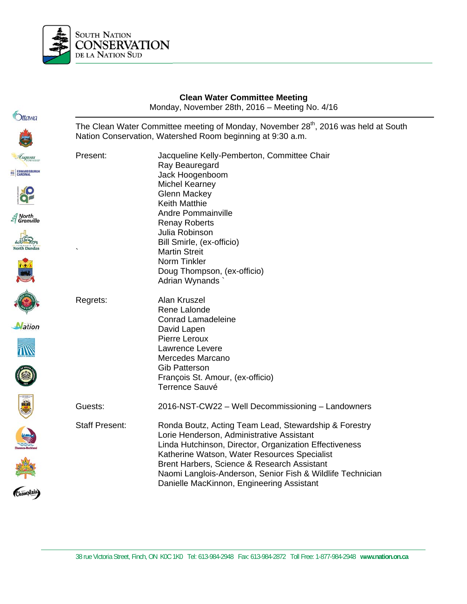

EC

|                                                                    | <b>Clean Water Committee Meeting</b><br>Monday, November 28th, 2016 - Meeting No. 4/16 |                                                                                                                                                                                                                                                                                                                                                                        |
|--------------------------------------------------------------------|----------------------------------------------------------------------------------------|------------------------------------------------------------------------------------------------------------------------------------------------------------------------------------------------------------------------------------------------------------------------------------------------------------------------------------------------------------------------|
| Ottawa                                                             |                                                                                        | The Clean Water Committee meeting of Monday, November 28 <sup>th</sup> , 2016 was held at South<br>Nation Conservation, Watershed Room beginning at 9:30 a.m.                                                                                                                                                                                                          |
| Luqusta<br>EC EDWARDSBURGH                                         | Present:                                                                               | Jacqueline Kelly-Pemberton, Committee Chair<br>Ray Beauregard<br>Jack Hoogenboom<br><b>Michel Kearney</b>                                                                                                                                                                                                                                                              |
|                                                                    |                                                                                        | <b>Glenn Mackey</b><br><b>Keith Matthie</b><br><b>Andre Pommainville</b>                                                                                                                                                                                                                                                                                               |
| $\mathcal{\mathcal{E}}$ North<br>$\mathcal{\mathcal{E}}$ Grenville |                                                                                        | <b>Renay Roberts</b><br>Julia Robinson<br>Bill Smirle, (ex-officio)                                                                                                                                                                                                                                                                                                    |
| <b>North Dundas</b>                                                |                                                                                        | <b>Martin Streit</b><br>Norm Tinkler<br>Doug Thompson, (ex-officio)<br>Adrian Wynands                                                                                                                                                                                                                                                                                  |
|                                                                    | Regrets:                                                                               | Alan Kruszel<br>Rene Lalonde<br><b>Conrad Lamadeleine</b>                                                                                                                                                                                                                                                                                                              |
| <b>Nation</b>                                                      |                                                                                        | David Lapen<br>Pierre Leroux<br>Lawrence Levere<br>Mercedes Marcano<br><b>Gib Patterson</b>                                                                                                                                                                                                                                                                            |
|                                                                    |                                                                                        | François St. Amour, (ex-officio)<br><b>Terrence Sauvé</b>                                                                                                                                                                                                                                                                                                              |
| 牵                                                                  | Guests:                                                                                | 2016-NST-CW22 - Well Decommissioning - Landowners                                                                                                                                                                                                                                                                                                                      |
| (Champlain)                                                        | <b>Staff Present:</b>                                                                  | Ronda Boutz, Acting Team Lead, Stewardship & Forestry<br>Lorie Henderson, Administrative Assistant<br>Linda Hutchinson, Director, Organization Effectiveness<br>Katherine Watson, Water Resources Specialist<br>Brent Harbers, Science & Research Assistant<br>Naomi Langlois-Anderson, Senior Fish & Wildlife Technician<br>Danielle MacKinnon, Engineering Assistant |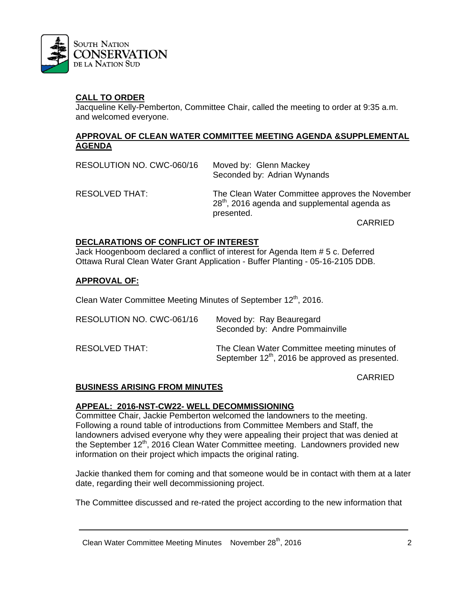

## **CALL TO ORDER**

Jacqueline Kelly-Pemberton, Committee Chair, called the meeting to order at 9:35 a.m. and welcomed everyone.

#### **APPROVAL OF CLEAN WATER COMMITTEE MEETING AGENDA &SUPPLEMENTAL AGENDA**

| RESOLUTION NO. CWC-060/16 | Moved by: Glenn Mackey<br>Seconded by: Adrian Wynands                                                            |
|---------------------------|------------------------------------------------------------------------------------------------------------------|
| RESOLVED THAT:            | The Clean Water Committee approves the November<br>$28th$ , 2016 agenda and supplemental agenda as<br>presented. |
|                           | <b>CARRIED</b>                                                                                                   |

#### **DECLARATIONS OF CONFLICT OF INTEREST**

Jack Hoogenboom declared a conflict of interest for Agenda Item # 5 c. Deferred Ottawa Rural Clean Water Grant Application - Buffer Planting - 05-16-2105 DDB.

#### **APPROVAL OF:**

Clean Water Committee Meeting Minutes of September 12<sup>th</sup>, 2016.

| RESOLUTION NO. CWC-061/16 | Moved by: Ray Beauregard<br>Seconded by: Andre Pommainville                                                 |
|---------------------------|-------------------------------------------------------------------------------------------------------------|
| RESOLVED THAT:            | The Clean Water Committee meeting minutes of<br>September 12 <sup>th</sup> , 2016 be approved as presented. |

CARRIED

### **BUSINESS ARISING FROM MINUTES**

#### **APPEAL: 2016-NST-CW22- WELL DECOMMISSIONING**

Committee Chair, Jackie Pemberton welcomed the landowners to the meeting. Following a round table of introductions from Committee Members and Staff, the landowners advised everyone why they were appealing their project that was denied at the September 12<sup>th</sup>, 2016 Clean Water Committee meeting. Landowners provided new information on their project which impacts the original rating.

Jackie thanked them for coming and that someone would be in contact with them at a later date, regarding their well decommissioning project.

The Committee discussed and re-rated the project according to the new information that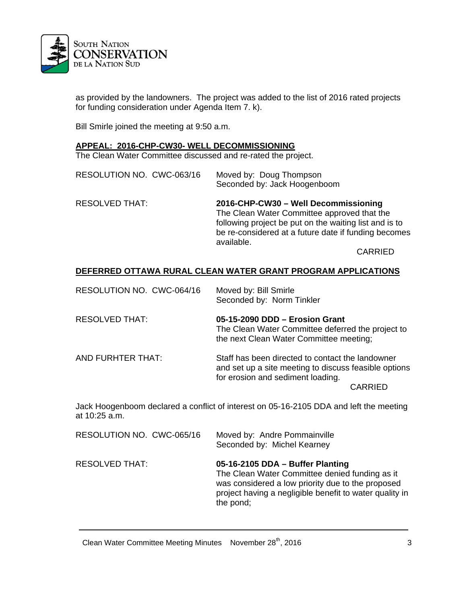

as provided by the landowners. The project was added to the list of 2016 rated projects for funding consideration under Agenda Item 7. k).

Bill Smirle joined the meeting at 9:50 a.m.

#### **APPEAL: 2016-CHP-CW30- WELL DECOMMISSIONING**

The Clean Water Committee discussed and re-rated the project.

| RESOLUTION NO. CWC-063/16 | Moved by: Doug Thompson<br>Seconded by: Jack Hoogenboom |
|---------------------------|---------------------------------------------------------|
|                           |                                                         |

RESOLVED THAT: **2016-CHP-CW30 – Well Decommissioning**  The Clean Water Committee approved that the following project be put on the waiting list and is to be re-considered at a future date if funding becomes available.

CARRIED

#### **DEFERRED OTTAWA RURAL CLEAN WATER GRANT PROGRAM APPLICATIONS**

| RESOLUTION NO. CWC-064/16 | Moved by: Bill Smirle<br>Seconded by: Norm Tinkler                                                                                             |
|---------------------------|------------------------------------------------------------------------------------------------------------------------------------------------|
| <b>RESOLVED THAT:</b>     | 05-15-2090 DDD - Erosion Grant<br>The Clean Water Committee deferred the project to<br>the next Clean Water Committee meeting;                 |
| AND FURHTER THAT:         | Staff has been directed to contact the landowner<br>and set up a site meeting to discuss feasible options<br>for erosion and sediment loading. |
|                           | CARRIED                                                                                                                                        |

Jack Hoogenboom declared a conflict of interest on 05-16-2105 DDA and left the meeting at 10:25 a.m.

| RESOLUTION NO. CWC-065/16 | Moved by: Andre Pommainville<br>Seconded by: Michel Kearney                                                                                                                                                     |
|---------------------------|-----------------------------------------------------------------------------------------------------------------------------------------------------------------------------------------------------------------|
| <b>RESOLVED THAT:</b>     | 05-16-2105 DDA - Buffer Planting<br>The Clean Water Committee denied funding as it<br>was considered a low priority due to the proposed<br>project having a negligible benefit to water quality in<br>the pond; |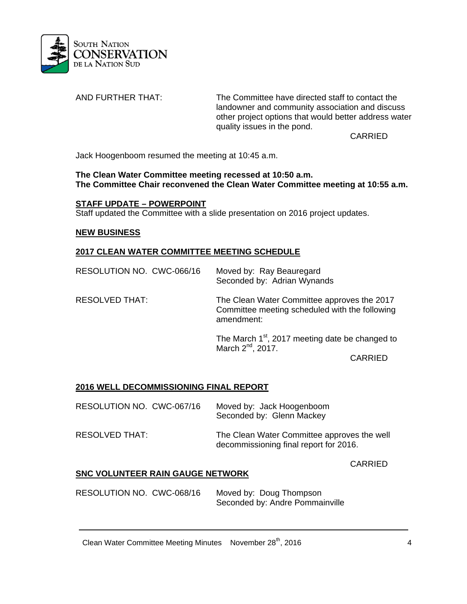

AND FURTHER THAT: The Committee have directed staff to contact the landowner and community association and discuss other project options that would better address water quality issues in the pond.

CARRIED

Jack Hoogenboom resumed the meeting at 10:45 a.m.

**The Clean Water Committee meeting recessed at 10:50 a.m. The Committee Chair reconvened the Clean Water Committee meeting at 10:55 a.m.** 

#### **STAFF UPDATE – POWERPOINT**

Staff updated the Committee with a slide presentation on 2016 project updates.

#### **NEW BUSINESS**

### **2017 CLEAN WATER COMMITTEE MEETING SCHEDULE**

| RESOLUTION NO. CWC-066/16 | Moved by: Ray Beauregard<br>Seconded by: Adrian Wynands                                                     |
|---------------------------|-------------------------------------------------------------------------------------------------------------|
| <b>RESOLVED THAT:</b>     | The Clean Water Committee approves the 2017<br>Committee meeting scheduled with the following<br>amendment: |
|                           | The March $1st$ , 2017 meeting date be changed to<br>March 2 <sup>nd</sup> , 2017.                          |

CARRIED

### **2016 WELL DECOMMISSIONING FINAL REPORT**

| RESOLUTION NO. CWC-067/16 | Moved by: Jack Hoogenboom<br>Seconded by: Glenn Mackey                                |
|---------------------------|---------------------------------------------------------------------------------------|
| RESOLVED THAT:            | The Clean Water Committee approves the well<br>decommissioning final report for 2016. |

CARRIED

### **SNC VOLUNTEER RAIN GAUGE NETWORK**

RESOLUTION NO. CWC-068/16 Moved by: Doug Thompson Seconded by: Andre Pommainville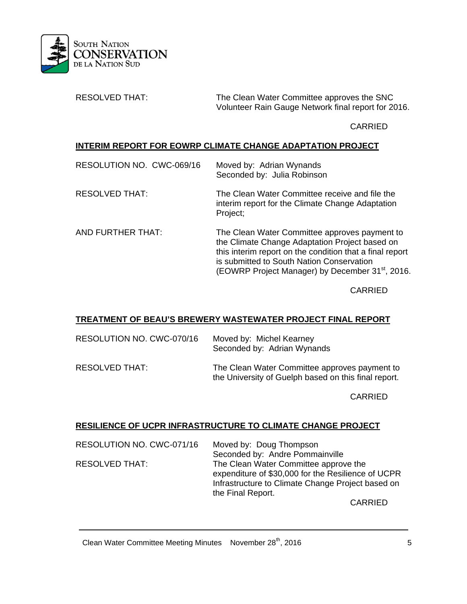

RESOLVED THAT: The Clean Water Committee approves the SNC Volunteer Rain Gauge Network final report for 2016.

CARRIED

## **INTERIM REPORT FOR EOWRP CLIMATE CHANGE ADAPTATION PROJECT**

| RESOLUTION NO. CWC-069/16 | Moved by: Adrian Wynands<br>Seconded by: Julia Robinson                                                                                                                                                                                                                  |
|---------------------------|--------------------------------------------------------------------------------------------------------------------------------------------------------------------------------------------------------------------------------------------------------------------------|
| <b>RESOLVED THAT:</b>     | The Clean Water Committee receive and file the<br>interim report for the Climate Change Adaptation<br>Project;                                                                                                                                                           |
| AND FURTHER THAT:         | The Clean Water Committee approves payment to<br>the Climate Change Adaptation Project based on<br>this interim report on the condition that a final report<br>is submitted to South Nation Conservation<br>(EOWRP Project Manager) by December 31 <sup>st</sup> , 2016. |

CARRIED

### **TREATMENT OF BEAU'S BREWERY WASTEWATER PROJECT FINAL REPORT**

| RESOLUTION NO. CWC-070/16 | Moved by: Michel Kearney<br>Seconded by: Adrian Wynands                                               |
|---------------------------|-------------------------------------------------------------------------------------------------------|
| RESOLVED THAT:            | The Clean Water Committee approves payment to<br>the University of Guelph based on this final report. |

CARRIED

# **RESILIENCE OF UCPR INFRASTRUCTURE TO CLIMATE CHANGE PROJECT**

| RESOLUTION NO. CWC-071/16 | Moved by: Doug Thompson                            |
|---------------------------|----------------------------------------------------|
|                           | Seconded by: Andre Pommainville                    |
| <b>RESOLVED THAT:</b>     | The Clean Water Committee approve the              |
|                           | expenditure of \$30,000 for the Resilience of UCPR |
|                           | Infrastructure to Climate Change Project based on  |
|                           | the Final Report.                                  |
|                           |                                                    |

CARRIED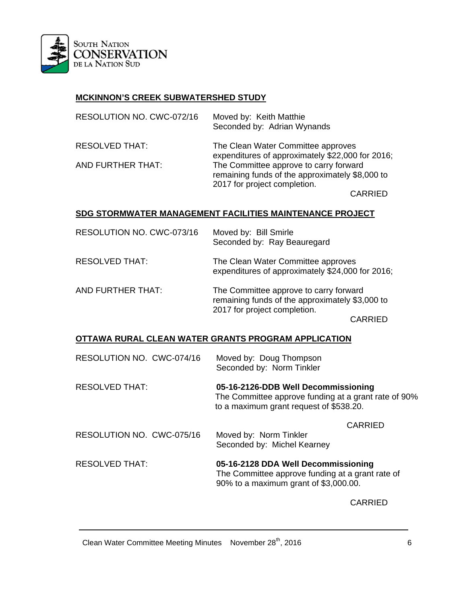

## **MCKINNON'S CREEK SUBWATERSHED STUDY**

| RESOLUTION NO. CWC-072/16 | Moved by: Keith Matthie<br>Seconded by: Adrian Wynands                                                                    |
|---------------------------|---------------------------------------------------------------------------------------------------------------------------|
| <b>RESOLVED THAT:</b>     | The Clean Water Committee approves<br>expenditures of approximately \$22,000 for 2016;                                    |
| <b>AND FURTHER THAT:</b>  | The Committee approve to carry forward<br>remaining funds of the approximately \$8,000 to<br>2017 for project completion. |
|                           | <b>^^^^```</b>                                                                                                            |

CARRIED

## **SDG STORMWATER MANAGEMENT FACILITIES MAINTENANCE PROJECT**

| RESOLUTION NO. CWC-073/16 | Moved by: Bill Smirle<br>Seconded by: Ray Beauregard                                                                                 |
|---------------------------|--------------------------------------------------------------------------------------------------------------------------------------|
| <b>RESOLVED THAT:</b>     | The Clean Water Committee approves<br>expenditures of approximately \$24,000 for 2016;                                               |
| AND FURTHER THAT:         | The Committee approve to carry forward<br>remaining funds of the approximately \$3,000 to<br>2017 for project completion.<br>CARRIED |

### **OTTAWA RURAL CLEAN WATER GRANTS PROGRAM APPLICATION**

| RESOLUTION NO. CWC-074/16 | Moved by: Doug Thompson<br>Seconded by: Norm Tinkler                                                                                   |
|---------------------------|----------------------------------------------------------------------------------------------------------------------------------------|
| <b>RESOLVED THAT:</b>     | 05-16-2126-DDB Well Decommissioning<br>The Committee approve funding at a grant rate of 90%<br>to a maximum grant request of \$538.20. |
|                           | <b>CARRIED</b>                                                                                                                         |
| RESOLUTION NO. CWC-075/16 | Moved by: Norm Tinkler<br>Seconded by: Michel Kearney                                                                                  |
| <b>RESOLVED THAT:</b>     | 05-16-2128 DDA Well Decommissioning<br>The Committee approve funding at a grant rate of<br>90% to a maximum grant of \$3,000.00.       |
|                           |                                                                                                                                        |

CARRIED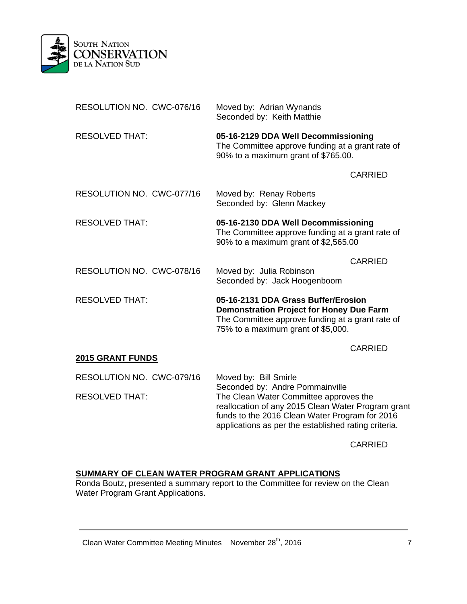

| RESOLUTION NO. CWC-076/16                          | Moved by: Adrian Wynands<br>Seconded by: Keith Matthie                                                                                                                                                                                                             |
|----------------------------------------------------|--------------------------------------------------------------------------------------------------------------------------------------------------------------------------------------------------------------------------------------------------------------------|
| <b>RESOLVED THAT:</b>                              | 05-16-2129 DDA Well Decommissioning<br>The Committee approve funding at a grant rate of<br>90% to a maximum grant of \$765.00.                                                                                                                                     |
|                                                    | <b>CARRIED</b>                                                                                                                                                                                                                                                     |
| RESOLUTION NO. CWC-077/16                          | Moved by: Renay Roberts<br>Seconded by: Glenn Mackey                                                                                                                                                                                                               |
| <b>RESOLVED THAT:</b>                              | 05-16-2130 DDA Well Decommissioning<br>The Committee approve funding at a grant rate of<br>90% to a maximum grant of \$2,565.00                                                                                                                                    |
| RESOLUTION NO. CWC-078/16                          | <b>CARRIED</b><br>Moved by: Julia Robinson<br>Seconded by: Jack Hoogenboom                                                                                                                                                                                         |
| <b>RESOLVED THAT:</b>                              | 05-16-2131 DDA Grass Buffer/Erosion<br><b>Demonstration Project for Honey Due Farm</b><br>The Committee approve funding at a grant rate of<br>75% to a maximum grant of \$5,000.                                                                                   |
| <b>2015 GRANT FUNDS</b>                            | <b>CARRIED</b>                                                                                                                                                                                                                                                     |
|                                                    |                                                                                                                                                                                                                                                                    |
| RESOLUTION NO. CWC-079/16<br><b>RESOLVED THAT:</b> | Moved by: Bill Smirle<br>Seconded by: Andre Pommainville<br>The Clean Water Committee approves the<br>reallocation of any 2015 Clean Water Program grant<br>funds to the 2016 Clean Water Program for 2016<br>applications as per the established rating criteria. |

CARRIED

# **SUMMARY OF CLEAN WATER PROGRAM GRANT APPLICATIONS**

 Ronda Boutz, presented a summary report to the Committee for review on the Clean Water Program Grant Applications.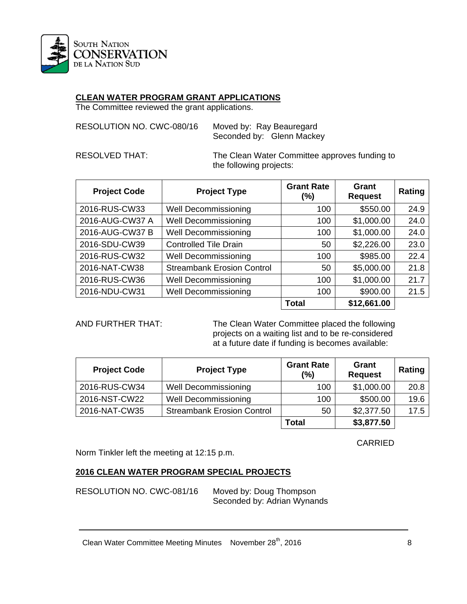

# **CLEAN WATER PROGRAM GRANT APPLICATIONS**

The Committee reviewed the grant applications.

| RESOLUTION NO. CWC-080/16 | Moved by: Ray Beauregard |                           |
|---------------------------|--------------------------|---------------------------|
|                           |                          | Seconded by: Glenn Mackey |

RESOLVED THAT: The Clean Water Committee approves funding to the following projects:

| <b>Project Code</b> | <b>Project Type</b>               | <b>Grant Rate</b><br>(%) | Grant<br><b>Request</b> | Rating |
|---------------------|-----------------------------------|--------------------------|-------------------------|--------|
| 2016-RUS-CW33       | <b>Well Decommissioning</b>       | 100                      | \$550.00                | 24.9   |
| 2016-AUG-CW37 A     | <b>Well Decommissioning</b>       | 100                      | \$1,000.00              | 24.0   |
| 2016-AUG-CW37 B     | <b>Well Decommissioning</b>       | 100                      | \$1,000.00              | 24.0   |
| 2016-SDU-CW39       | <b>Controlled Tile Drain</b>      | 50                       | \$2,226.00              | 23.0   |
| 2016-RUS-CW32       | <b>Well Decommissioning</b>       | 100                      | \$985.00                | 22.4   |
| 2016-NAT-CW38       | <b>Streambank Erosion Control</b> | 50                       | \$5,000.00              | 21.8   |
| 2016-RUS-CW36       | <b>Well Decommissioning</b>       | 100                      | \$1,000.00              | 21.7   |
| 2016-NDU-CW31       | <b>Well Decommissioning</b>       | 100                      | \$900.00                | 21.5   |
|                     |                                   | <b>Total</b>             | \$12,661.00             |        |

AND FURTHER THAT: The Clean Water Committee placed the following projects on a waiting list and to be re-considered at a future date if funding is becomes available:

| <b>Project Code</b> | <b>Project Type</b>               | <b>Grant Rate</b><br>(%) | Grant<br><b>Request</b> | Rating |
|---------------------|-----------------------------------|--------------------------|-------------------------|--------|
| 2016-RUS-CW34       | Well Decommissioning              | 100                      | \$1,000.00              | 20.8   |
| 2016-NST-CW22       | <b>Well Decommissioning</b>       | 100                      | \$500.00                | 19.6   |
| 2016-NAT-CW35       | <b>Streambank Erosion Control</b> | 50                       | \$2,377.50              | 17.5   |
|                     |                                   | <b>Total</b>             | \$3,877.50              |        |

CARRIED

Norm Tinkler left the meeting at 12:15 p.m.

# **2016 CLEAN WATER PROGRAM SPECIAL PROJECTS**

RESOLUTION NO. CWC-081/16 Moved by: Doug Thompson

Seconded by: Adrian Wynands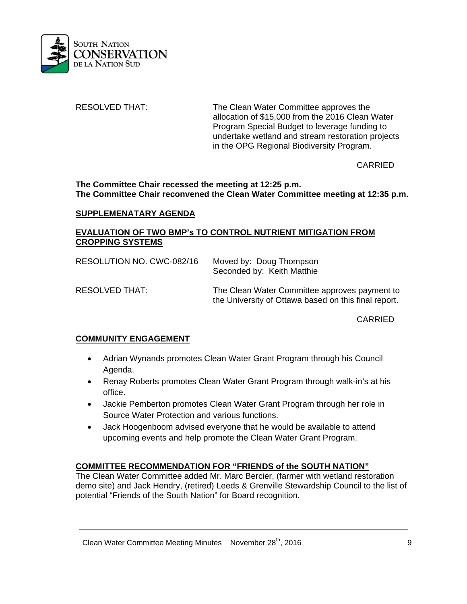

RESOLVED THAT: The Clean Water Committee approves the allocation of \$15,000 from the 2016 Clean Water Program Special Budget to leverage funding to undertake wetland and stream restoration projects in the OPG Regional Biodiversity Program.

CARRIED

**The Committee Chair recessed the meeting at 12:25 p.m. The Committee Chair reconvened the Clean Water Committee meeting at 12:35 p.m.** 

### **SUPPLEMENATARY AGENDA**

### **EVALUATION OF TWO BMP's TO CONTROL NUTRIENT MITIGATION FROM CROPPING SYSTEMS**

| RESOLUTION NO. CWC-082/16 | Moved by: Doug Thompson<br>Seconded by: Keith Matthie                                                 |
|---------------------------|-------------------------------------------------------------------------------------------------------|
| RESOLVED THAT:            | The Clean Water Committee approves payment to<br>the University of Ottawa based on this final report. |

CARRIED

### **COMMUNITY ENGAGEMENT**

- Adrian Wynands promotes Clean Water Grant Program through his Council Agenda.
- Renay Roberts promotes Clean Water Grant Program through walk-in's at his office.
- Jackie Pemberton promotes Clean Water Grant Program through her role in Source Water Protection and various functions.
- Jack Hoogenboom advised everyone that he would be available to attend upcoming events and help promote the Clean Water Grant Program.

### **COMMITTEE RECOMMENDATION FOR "FRIENDS of the SOUTH NATION"**

The Clean Water Committee added Mr. Marc Bercier, (farmer with wetland restoration demo site) and Jack Hendry, (retired) Leeds & Grenville Stewardship Council to the list of potential "Friends of the South Nation" for Board recognition.